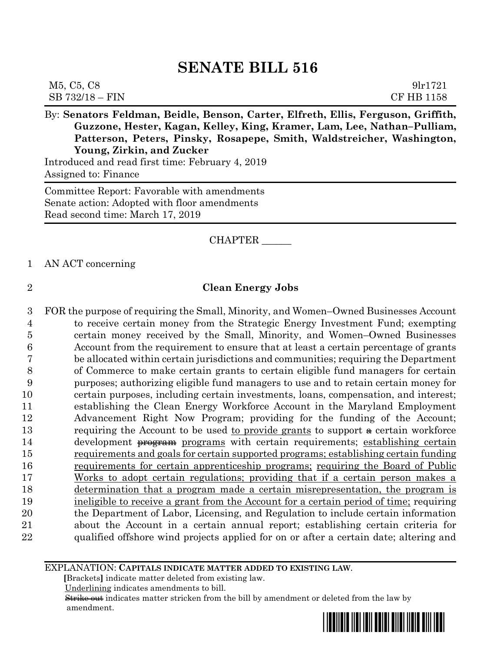| M5, C5, C8        | 91r1721    |
|-------------------|------------|
| $SB 732/18 - FIN$ | CF HB 1158 |

By: **Senators Feldman, Beidle, Benson, Carter, Elfreth, Ellis, Ferguson, Griffith, Guzzone, Hester, Kagan, Kelley, King, Kramer, Lam, Lee, Nathan–Pulliam, Patterson, Peters, Pinsky, Rosapepe, Smith, Waldstreicher, Washington, Young, Zirkin, and Zucker**

Introduced and read first time: February 4, 2019 Assigned to: Finance

Committee Report: Favorable with amendments Senate action: Adopted with floor amendments Read second time: March 17, 2019

### CHAPTER \_\_\_\_\_\_

1 AN ACT concerning

### 2 **Clean Energy Jobs**

 FOR the purpose of requiring the Small, Minority, and Women–Owned Businesses Account to receive certain money from the Strategic Energy Investment Fund; exempting certain money received by the Small, Minority, and Women–Owned Businesses Account from the requirement to ensure that at least a certain percentage of grants be allocated within certain jurisdictions and communities; requiring the Department of Commerce to make certain grants to certain eligible fund managers for certain purposes; authorizing eligible fund managers to use and to retain certain money for certain purposes, including certain investments, loans, compensation, and interest; establishing the Clean Energy Workforce Account in the Maryland Employment Advancement Right Now Program; providing for the funding of the Account; 13 requiring the Account to be used to provide grants to support  $\theta$  certain workforce 14 development <del>program</del> programs with certain requirements; establishing certain requirements and goals for certain supported programs; establishing certain funding requirements for certain apprenticeship programs; requiring the Board of Public Works to adopt certain regulations; providing that if a certain person makes a determination that a program made a certain misrepresentation, the program is ineligible to receive a grant from the Account for a certain period of time; requiring the Department of Labor, Licensing, and Regulation to include certain information about the Account in a certain annual report; establishing certain criteria for qualified offshore wind projects applied for on or after a certain date; altering and

#### EXPLANATION: **CAPITALS INDICATE MATTER ADDED TO EXISTING LAW**.

 **[**Brackets**]** indicate matter deleted from existing law.

Underlining indicates amendments to bill.

 Strike out indicates matter stricken from the bill by amendment or deleted from the law by amendment.

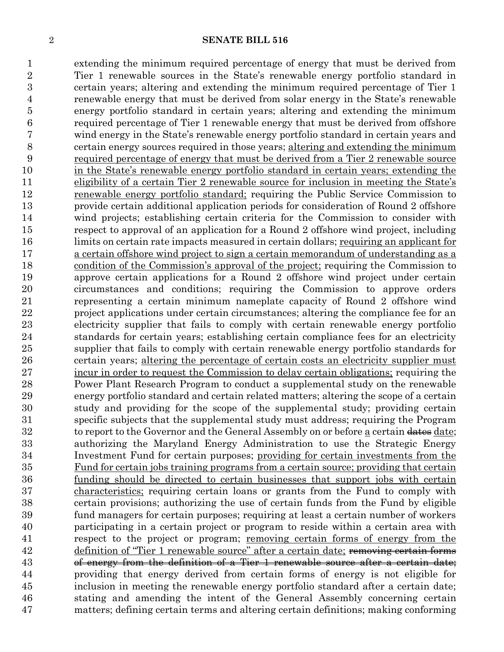extending the minimum required percentage of energy that must be derived from Tier 1 renewable sources in the State's renewable energy portfolio standard in certain years; altering and extending the minimum required percentage of Tier 1 renewable energy that must be derived from solar energy in the State's renewable energy portfolio standard in certain years; altering and extending the minimum required percentage of Tier 1 renewable energy that must be derived from offshore wind energy in the State's renewable energy portfolio standard in certain years and certain energy sources required in those years; altering and extending the minimum required percentage of energy that must be derived from a Tier 2 renewable source in the State's renewable energy portfolio standard in certain years; extending the eligibility of a certain Tier 2 renewable source for inclusion in meeting the State's renewable energy portfolio standard; requiring the Public Service Commission to provide certain additional application periods for consideration of Round 2 offshore wind projects; establishing certain criteria for the Commission to consider with respect to approval of an application for a Round 2 offshore wind project, including limits on certain rate impacts measured in certain dollars; requiring an applicant for a certain offshore wind project to sign a certain memorandum of understanding as a condition of the Commission's approval of the project; requiring the Commission to approve certain applications for a Round 2 offshore wind project under certain circumstances and conditions; requiring the Commission to approve orders representing a certain minimum nameplate capacity of Round 2 offshore wind project applications under certain circumstances; altering the compliance fee for an electricity supplier that fails to comply with certain renewable energy portfolio standards for certain years; establishing certain compliance fees for an electricity supplier that fails to comply with certain renewable energy portfolio standards for 26 certain years; altering the percentage of certain costs an electricity supplier must incur in order to request the Commission to delay certain obligations; requiring the Power Plant Research Program to conduct a supplemental study on the renewable energy portfolio standard and certain related matters; altering the scope of a certain study and providing for the scope of the supplemental study; providing certain specific subjects that the supplemental study must address; requiring the Program 32 to report to the Governor and the General Assembly on or before a certain dates date; authorizing the Maryland Energy Administration to use the Strategic Energy Investment Fund for certain purposes; providing for certain investments from the Fund for certain jobs training programs from a certain source; providing that certain funding should be directed to certain businesses that support jobs with certain 37 characteristics; requiring certain loans or grants from the Fund to comply with certain provisions; authorizing the use of certain funds from the Fund by eligible fund managers for certain purposes; requiring at least a certain number of workers participating in a certain project or program to reside within a certain area with respect to the project or program; removing certain forms of energy from the 42 definition of "Tier 1 renewable source" after a certain date; removing certain forms of energy from the definition of a Tier 1 renewable source after a certain date; providing that energy derived from certain forms of energy is not eligible for inclusion in meeting the renewable energy portfolio standard after a certain date; stating and amending the intent of the General Assembly concerning certain matters; defining certain terms and altering certain definitions; making conforming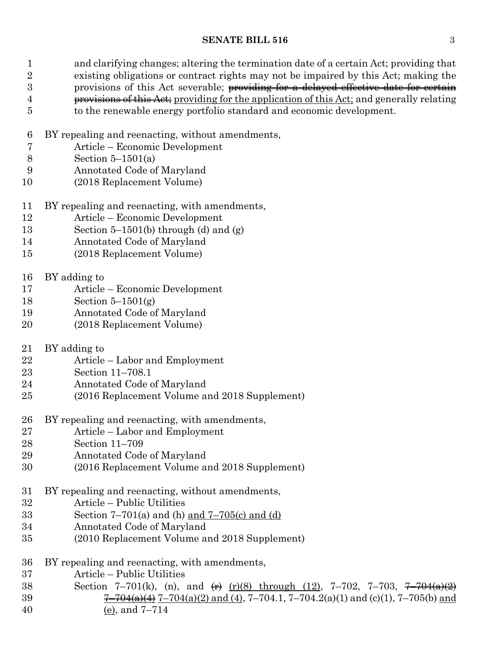and clarifying changes; altering the termination date of a certain Act; providing that existing obligations or contract rights may not be impaired by this Act; making the 3 provisions of this Act severable; providing for a delayed effective date for certain 4 provisions of this Act; providing for the application of this Act; and generally relating to the renewable energy portfolio standard and economic development.

- BY repealing and reenacting, without amendments,
- Article Economic Development
- Section 5–1501(a)
- Annotated Code of Maryland
- (2018 Replacement Volume)
- BY repealing and reenacting, with amendments,
- Article Economic Development
- 13 Section 5–1501(b) through (d) and  $(g)$
- Annotated Code of Maryland
- (2018 Replacement Volume)
- BY adding to
- Article Economic Development
- Section 5–1501(g)
- Annotated Code of Maryland
- (2018 Replacement Volume)
- BY adding to
- Article Labor and Employment
- Section 11–708.1
- Annotated Code of Maryland
- (2016 Replacement Volume and 2018 Supplement)
- BY repealing and reenacting, with amendments,
- Article Labor and Employment
- Section 11–709
- Annotated Code of Maryland
- (2016 Replacement Volume and 2018 Supplement)
- BY repealing and reenacting, without amendments,
- Article Public Utilities
- 33 Section  $7-701(a)$  and (h) and  $7-705(c)$  and (d)
- Annotated Code of Maryland
- (2010 Replacement Volume and 2018 Supplement)
- BY repealing and reenacting, with amendments,
- Article Public Utilities
- 38 Section 7–701(k), (n), and  $\leftrightarrow$  (r)(8) through (12), 7–702, 7–703, <del>7–704(a)(2)</del> 39  $\frac{7-704(a)(4)}{7-704(a)(2) \text{ and } (4)}$ , 7-704.1, 7-704.2(a)(1) and (c)(1), 7-705(b) and (e), and 7–714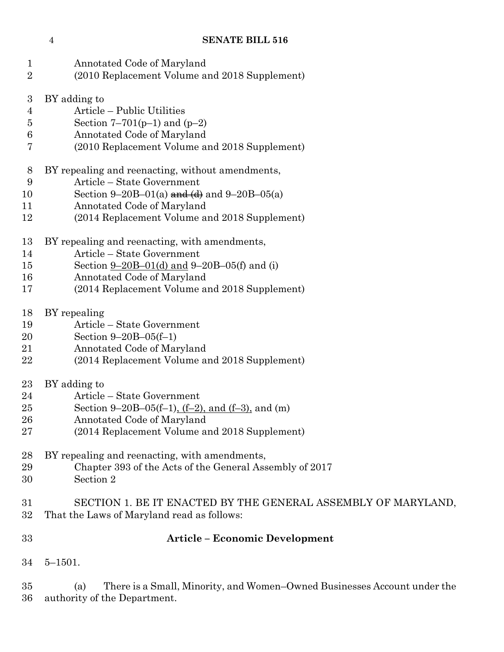| $\mathbf 1$      | Annotated Code of Maryland                                                                                      |
|------------------|-----------------------------------------------------------------------------------------------------------------|
| $\overline{2}$   | (2010 Replacement Volume and 2018 Supplement)                                                                   |
| $\boldsymbol{3}$ | BY adding to                                                                                                    |
| 4                | Article – Public Utilities                                                                                      |
| 5                | Section 7–701( $p-1$ ) and ( $p-2$ )                                                                            |
| 6                | Annotated Code of Maryland                                                                                      |
| 7                | (2010 Replacement Volume and 2018 Supplement)                                                                   |
| 8                | BY repealing and reenacting, without amendments,                                                                |
| 9                | Article - State Government                                                                                      |
| 10               | Section 9–20B–01(a) and $(d)$ and 9–20B–05(a)                                                                   |
| 11               | Annotated Code of Maryland                                                                                      |
| 12               | (2014 Replacement Volume and 2018 Supplement)                                                                   |
| 13               | BY repealing and reenacting, with amendments,                                                                   |
| 14               | Article – State Government                                                                                      |
| 15               | Section $9-20B-01(d)$ and $9-20B-05(f)$ and (i)                                                                 |
| 16               | Annotated Code of Maryland                                                                                      |
| 17               | (2014 Replacement Volume and 2018 Supplement)                                                                   |
| 18               | BY repealing                                                                                                    |
| 19               | Article – State Government                                                                                      |
| 20               | Section $9 - 20B - 05(f-1)$                                                                                     |
| 21               | Annotated Code of Maryland                                                                                      |
| 22               | (2014 Replacement Volume and 2018 Supplement)                                                                   |
| 23               | BY adding to                                                                                                    |
| 24               | Article - State Government                                                                                      |
| 25               | Section 9–20B–05(f–1), (f–2), and (f–3), and (m)                                                                |
| 26               | Annotated Code of Maryland                                                                                      |
| 27               | (2014 Replacement Volume and 2018 Supplement)                                                                   |
| 28               | BY repealing and reenacting, with amendments,                                                                   |
| 29               | Chapter 393 of the Acts of the General Assembly of 2017                                                         |
| 30               | Section 2                                                                                                       |
| 31               | SECTION 1. BE IT ENACTED BY THE GENERAL ASSEMBLY OF MARYLAND,                                                   |
| 32               | That the Laws of Maryland read as follows:                                                                      |
| 33               | <b>Article – Economic Development</b>                                                                           |
| 34               | $5 - 1501.$                                                                                                     |
| 35<br>36         | There is a Small, Minority, and Women-Owned Businesses Account under the<br>(a)<br>authority of the Department. |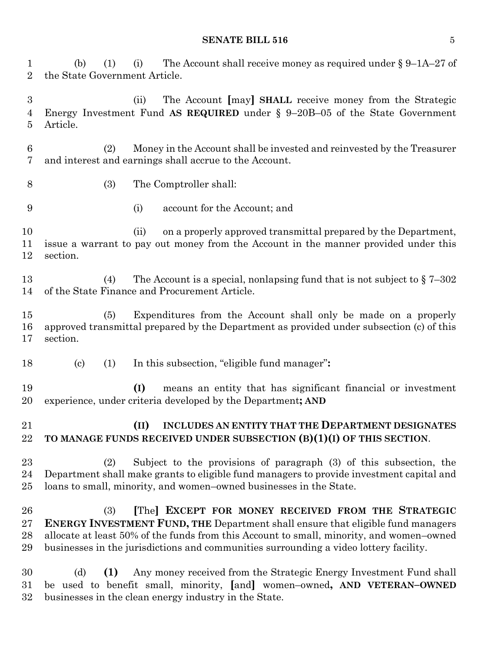| $\mathbf 1$<br>$\overline{2}$ | The Account shall receive money as required under $\S 9$ –1A–27 of<br>(b)<br>(1)<br>(i)<br>the State Government Article.                                                                                                                                                                                                                 |
|-------------------------------|------------------------------------------------------------------------------------------------------------------------------------------------------------------------------------------------------------------------------------------------------------------------------------------------------------------------------------------|
| 3<br>4<br>5                   | The Account [may] SHALL receive money from the Strategic<br>(ii)<br>Energy Investment Fund AS REQUIRED under $\S$ 9-20B-05 of the State Government<br>Article.                                                                                                                                                                           |
| $\,6\,$<br>7                  | Money in the Account shall be invested and reinvested by the Treasurer<br>(2)<br>and interest and earnings shall accrue to the Account.                                                                                                                                                                                                  |
| 8                             | (3)<br>The Comptroller shall:                                                                                                                                                                                                                                                                                                            |
| 9                             | account for the Account; and<br>(i)                                                                                                                                                                                                                                                                                                      |
| 10<br>11<br>12                | on a properly approved transmittal prepared by the Department,<br>(ii)<br>issue a warrant to pay out money from the Account in the manner provided under this<br>section.                                                                                                                                                                |
| 13<br>14                      | The Account is a special, nonlapsing fund that is not subject to $\S 7-302$<br>(4)<br>of the State Finance and Procurement Article.                                                                                                                                                                                                      |
| 15<br>16<br>17                | Expenditures from the Account shall only be made on a properly<br>(5)<br>approved transmittal prepared by the Department as provided under subsection (c) of this<br>section.                                                                                                                                                            |
| 18                            | In this subsection, "eligible fund manager":<br>$\left( \mathrm{c}\right)$<br>(1)                                                                                                                                                                                                                                                        |
| 19<br>20                      | means an entity that has significant financial or investment<br>(I)<br>experience, under criteria developed by the Department; AND                                                                                                                                                                                                       |
| 21<br>22                      | INCLUDES AN ENTITY THAT THE DEPARTMENT DESIGNATES<br>(II)<br>TO MANAGE FUNDS RECEIVED UNDER SUBSECTION (B)(1)(I) OF THIS SECTION.                                                                                                                                                                                                        |
| 23<br>24<br>25                | Subject to the provisions of paragraph (3) of this subsection, the<br>(2)<br>Department shall make grants to eligible fund managers to provide investment capital and<br>loans to small, minority, and women-owned businesses in the State.                                                                                              |
| 26<br>27<br>28<br>29          | [The] EXCEPT FOR MONEY RECEIVED FROM THE STRATEGIC<br>(3)<br><b>ENERGY INVESTMENT FUND, THE Department shall ensure that eligible fund managers</b><br>allocate at least 50% of the funds from this Account to small, minority, and women-owned<br>businesses in the jurisdictions and communities surrounding a video lottery facility. |
| 30<br>31<br>32                | Any money received from the Strategic Energy Investment Fund shall<br>(d)<br>(1)<br>be used to benefit small, minority, [and] women-owned, AND VETERAN-OWNED<br>businesses in the clean energy industry in the State.                                                                                                                    |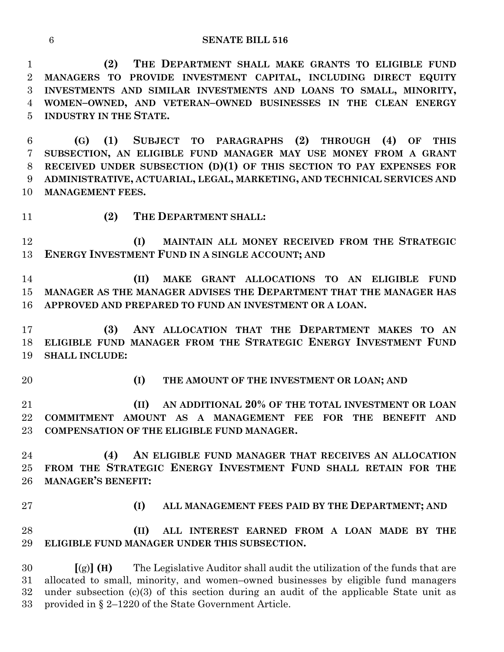**(2) THE DEPARTMENT SHALL MAKE GRANTS TO ELIGIBLE FUND MANAGERS TO PROVIDE INVESTMENT CAPITAL, INCLUDING DIRECT EQUITY INVESTMENTS AND SIMILAR INVESTMENTS AND LOANS TO SMALL, MINORITY, WOMEN–OWNED, AND VETERAN–OWNED BUSINESSES IN THE CLEAN ENERGY INDUSTRY IN THE STATE.**

 **(G) (1) SUBJECT TO PARAGRAPHS (2) THROUGH (4) OF THIS SUBSECTION, AN ELIGIBLE FUND MANAGER MAY USE MONEY FROM A GRANT RECEIVED UNDER SUBSECTION (D)(1) OF THIS SECTION TO PAY EXPENSES FOR ADMINISTRATIVE, ACTUARIAL, LEGAL, MARKETING, AND TECHNICAL SERVICES AND MANAGEMENT FEES.**

**(2) THE DEPARTMENT SHALL:**

 **(I) MAINTAIN ALL MONEY RECEIVED FROM THE STRATEGIC ENERGY INVESTMENT FUND IN A SINGLE ACCOUNT; AND**

 **(II) MAKE GRANT ALLOCATIONS TO AN ELIGIBLE FUND MANAGER AS THE MANAGER ADVISES THE DEPARTMENT THAT THE MANAGER HAS APPROVED AND PREPARED TO FUND AN INVESTMENT OR A LOAN.**

 **(3) ANY ALLOCATION THAT THE DEPARTMENT MAKES TO AN ELIGIBLE FUND MANAGER FROM THE STRATEGIC ENERGY INVESTMENT FUND SHALL INCLUDE:**

**(I) THE AMOUNT OF THE INVESTMENT OR LOAN; AND**

 **(II) AN ADDITIONAL 20% OF THE TOTAL INVESTMENT OR LOAN COMMITMENT AMOUNT AS A MANAGEMENT FEE FOR THE BENEFIT AND COMPENSATION OF THE ELIGIBLE FUND MANAGER.**

 **(4) AN ELIGIBLE FUND MANAGER THAT RECEIVES AN ALLOCATION FROM THE STRATEGIC ENERGY INVESTMENT FUND SHALL RETAIN FOR THE MANAGER'S BENEFIT:**

- 
- **(I) ALL MANAGEMENT FEES PAID BY THE DEPARTMENT; AND**

 **(II) ALL INTEREST EARNED FROM A LOAN MADE BY THE ELIGIBLE FUND MANAGER UNDER THIS SUBSECTION.**

 **[**(g)**] (H)** The Legislative Auditor shall audit the utilization of the funds that are allocated to small, minority, and women–owned businesses by eligible fund managers under subsection (c)(3) of this section during an audit of the applicable State unit as provided in § 2–1220 of the State Government Article.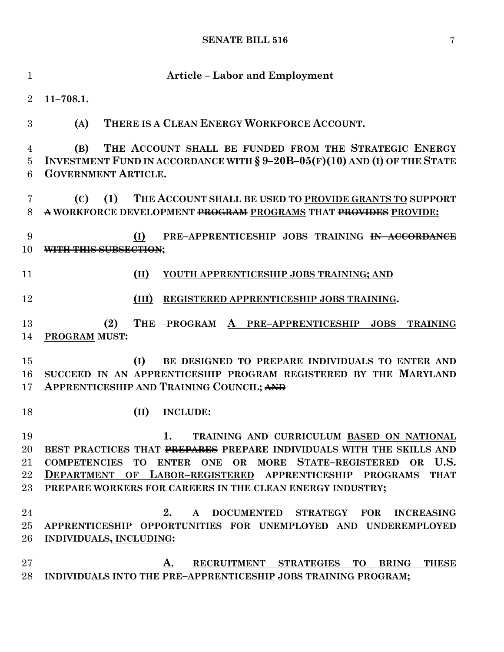| $\mathbf{1}$                   | <b>Article - Labor and Employment</b>                                                                                                                                                                                                                                                                             |
|--------------------------------|-------------------------------------------------------------------------------------------------------------------------------------------------------------------------------------------------------------------------------------------------------------------------------------------------------------------|
| $\overline{2}$                 | $11 - 708.1.$                                                                                                                                                                                                                                                                                                     |
| 3                              | THERE IS A CLEAN ENERGY WORKFORCE ACCOUNT.<br>(A)                                                                                                                                                                                                                                                                 |
| 4<br>$\overline{5}$<br>6       | THE ACCOUNT SHALL BE FUNDED FROM THE STRATEGIC ENERGY<br>(B)<br>INVESTMENT FUND IN ACCORDANCE WITH $\S 9-20B-05(F)(10)$ AND (I) OF THE STATE<br><b>GOVERNMENT ARTICLE.</b>                                                                                                                                        |
| 7<br>8                         | THE ACCOUNT SHALL BE USED TO PROVIDE GRANTS TO SUPPORT<br>(C)<br>(1)<br>A WORKFORCE DEVELOPMENT PROGRAM PROGRAMS THAT PROVIDES PROVIDE:                                                                                                                                                                           |
| 9<br>10                        | (I)<br>PRE-APPRENTICESHIP JOBS TRAINING IN ACCORDANCE<br>WITH THIS SUBSECTION;                                                                                                                                                                                                                                    |
| 11                             | (II)<br>YOUTH APPRENTICESHIP JOBS TRAINING; AND                                                                                                                                                                                                                                                                   |
| 12                             | REGISTERED APPRENTICESHIP JOBS TRAINING.<br>(III)                                                                                                                                                                                                                                                                 |
| 13<br>14                       | (2)<br><b>THE PROGRAM</b> A PRE-APPRENTICESHIP<br><b>JOBS</b><br><b>TRAINING</b><br><b>PROGRAM MUST:</b>                                                                                                                                                                                                          |
| 15<br>16<br>17                 | (I)<br>BE DESIGNED TO PREPARE INDIVIDUALS TO ENTER AND<br>SUCCEED IN AN APPRENTICESHIP PROGRAM REGISTERED BY THE MARYLAND<br>APPRENTICESHIP AND TRAINING COUNCIL; AND                                                                                                                                             |
| 18                             | (II)<br><b>INCLUDE:</b>                                                                                                                                                                                                                                                                                           |
| 19<br>20<br>21<br>$22\,$<br>23 | TRAINING AND CURRICULUM BASED ON NATIONAL<br>1.<br>BEST PRACTICES THAT PREPARES PREPARE INDIVIDUALS WITH THE SKILLS AND<br>COMPETENCIES TO ENTER ONE OR MORE STATE-REGISTERED OR U.S.<br>DEPARTMENT OF LABOR-REGISTERED APPRENTICESHIP PROGRAMS THAT<br>PREPARE WORKERS FOR CAREERS IN THE CLEAN ENERGY INDUSTRY; |
| 24<br>$25\,$<br>$26\,$         | 2. A DOCUMENTED STRATEGY FOR INCREASING<br>APPRENTICESHIP OPPORTUNITIES FOR UNEMPLOYED AND UNDEREMPLOYED<br>INDIVIDUALS, INCLUDING:                                                                                                                                                                               |
| $27\,$<br>28                   | RECRUITMENT STRATEGIES TO BRING THESE<br>A.<br>INDIVIDUALS INTO THE PRE-APPRENTICESHIP JOBS TRAINING PROGRAM;                                                                                                                                                                                                     |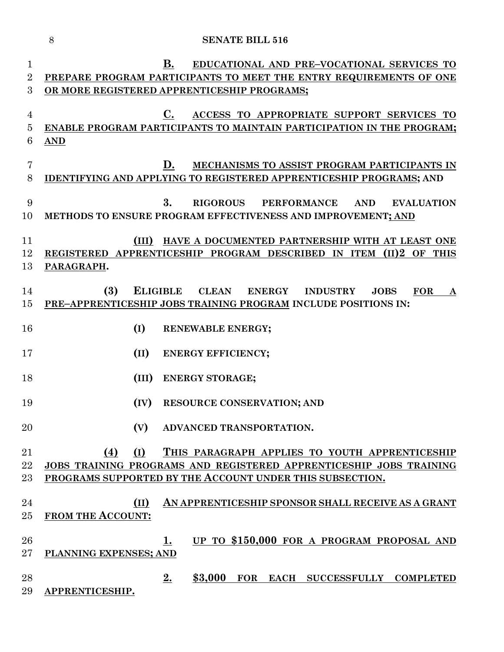| $\mathbf 1$      |                          | EDUCATIONAL AND PRE-VOCATIONAL SERVICES TO<br>В.                                                                 |
|------------------|--------------------------|------------------------------------------------------------------------------------------------------------------|
| $\overline{2}$   |                          | PREPARE PROGRAM PARTICIPANTS TO MEET THE ENTRY REQUIREMENTS OF ONE                                               |
| $\overline{3}$   |                          | OR MORE REGISTERED APPRENTICESHIP PROGRAMS;                                                                      |
|                  |                          |                                                                                                                  |
| 4                |                          | C.<br>ACCESS TO APPROPRIATE SUPPORT SERVICES TO                                                                  |
| 5                |                          | ENABLE PROGRAM PARTICIPANTS TO MAINTAIN PARTICIPATION IN THE PROGRAM;                                            |
| $\boldsymbol{6}$ | $\overline{\text{AND}}$  |                                                                                                                  |
|                  |                          |                                                                                                                  |
| 7                |                          | MECHANISMS TO ASSIST PROGRAM PARTICIPANTS IN<br>D.                                                               |
| 8                |                          | <b>IDENTIFYING AND APPLYING TO REGISTERED APPRENTICESHIP PROGRAMS; AND</b>                                       |
|                  |                          |                                                                                                                  |
| 9                |                          | 3.<br><b>RIGOROUS</b><br><b>PERFORMANCE</b><br><b>AND</b><br><b>EVALUATION</b>                                   |
| 10               |                          | METHODS TO ENSURE PROGRAM EFFECTIVENESS AND IMPROVEMENT; AND                                                     |
|                  |                          |                                                                                                                  |
| 11               |                          | (III) HAVE A DOCUMENTED PARTNERSHIP WITH AT LEAST ONE                                                            |
| 12               |                          | REGISTERED APPRENTICESHIP PROGRAM DESCRIBED IN ITEM (II)2 OF THIS                                                |
| 13               | PARAGRAPH.               |                                                                                                                  |
|                  |                          |                                                                                                                  |
| 14               | (3)                      | <b>ELIGIBLE</b><br><b>CLEAN</b><br><b>ENERGY</b><br><b>INDUSTRY</b><br><b>FOR</b><br><b>JOBS</b><br>$\mathbf{A}$ |
| 15               |                          | PRE-APPRENTICESHIP JOBS TRAINING PROGRAM INCLUDE POSITIONS IN:                                                   |
|                  |                          |                                                                                                                  |
| 16               | (I)                      | <b>RENEWABLE ENERGY;</b>                                                                                         |
|                  |                          |                                                                                                                  |
| 17               | (II)                     | <b>ENERGY EFFICIENCY;</b>                                                                                        |
|                  |                          |                                                                                                                  |
| 18               | (III)                    | <b>ENERGY STORAGE;</b>                                                                                           |
|                  |                          |                                                                                                                  |
| 19               | (IV)                     | <b>RESOURCE CONSERVATION; AND</b>                                                                                |
| 20               |                          | (V) ADVANCED TRANSPORTATION                                                                                      |
|                  |                          |                                                                                                                  |
| 21               | (I)<br>(4)               | THIS PARAGRAPH APPLIES TO YOUTH APPRENTICESHIP                                                                   |
| 22               |                          | JOBS TRAINING PROGRAMS AND REGISTERED APPRENTICESHIP JOBS TRAINING                                               |
| 23               |                          | PROGRAMS SUPPORTED BY THE ACCOUNT UNDER THIS SUBSECTION.                                                         |
|                  |                          |                                                                                                                  |
| 24               | (II)                     | AN APPRENTICESHIP SPONSOR SHALL RECEIVE AS A GRANT                                                               |
| 25               | <b>FROM THE ACCOUNT:</b> |                                                                                                                  |
|                  |                          |                                                                                                                  |
| 26               |                          | UP TO \$150,000 FOR A PROGRAM PROPOSAL AND<br>1.                                                                 |
| 27               | PLANNING EXPENSES; AND   |                                                                                                                  |
|                  |                          |                                                                                                                  |
| 28               |                          | 2.<br>\$3,000<br>FOR EACH SUCCESSFULLY COMPLETED                                                                 |
| 29               | APPRENTICESHIP.          |                                                                                                                  |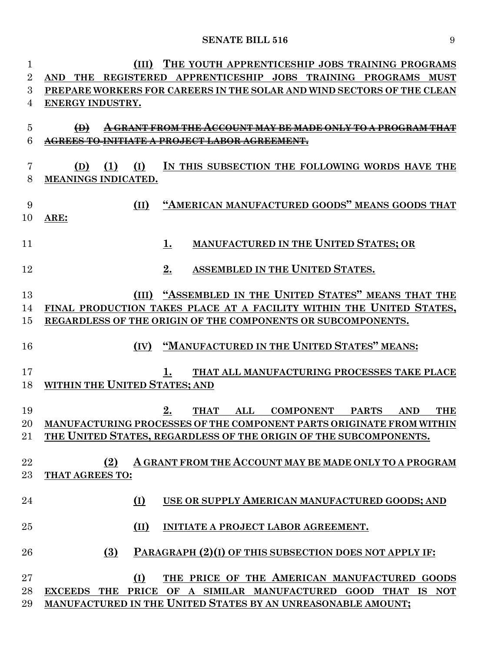| 1              | THE YOUTH APPRENTICESHIP JOBS TRAINING PROGRAMS                                                     |
|----------------|-----------------------------------------------------------------------------------------------------|
| $\overline{2}$ | APPRENTICESHIP JOBS TRAINING PROGRAMS MUST<br>THE REGISTERED<br><b>AND</b>                          |
| 3              | PREPARE WORKERS FOR CAREERS IN THE SOLAR AND WIND SECTORS OF THE CLEAN                              |
| 4              | ENERGY INDUSTRY.                                                                                    |
|                |                                                                                                     |
| $\overline{5}$ | $\bigoplus$<br><del>A GRANT FROM THE ACCOUNT MAY BE MADE ONLY TO A PROGRAM THAT</del>               |
| 6              |                                                                                                     |
|                |                                                                                                     |
| 7              | IN THIS SUBSECTION THE FOLLOWING WORDS HAVE THE<br>(D)<br>(1)<br>(I)                                |
| 8              | MEANINGS INDICATED.                                                                                 |
|                |                                                                                                     |
| 9              | "AMERICAN MANUFACTURED GOODS" MEANS GOODS THAT<br>(II)                                              |
| 10             | ARE:                                                                                                |
|                |                                                                                                     |
| 11             | <b>MANUFACTURED IN THE UNITED STATES; OR</b><br>1.                                                  |
|                |                                                                                                     |
| 12             | ASSEMBLED IN THE UNITED STATES.<br>2.                                                               |
| 13             | "ASSEMBLED IN THE UNITED STATES" MEANS THAT THE<br>(III)                                            |
| 14             | FINAL PRODUCTION TAKES PLACE AT A FACILITY WITHIN THE UNITED STATES,                                |
| 15             | REGARDLESS OF THE ORIGIN OF THE COMPONENTS OR SUBCOMPONENTS.                                        |
|                |                                                                                                     |
| 16             | "MANUFACTURED IN THE UNITED STATES" MEANS:<br>(IV)                                                  |
|                |                                                                                                     |
| 17             | THAT ALL MANUFACTURING PROCESSES TAKE PLACE                                                         |
| 18             | <b>WITHIN THE UNITED STATES; AND</b>                                                                |
|                |                                                                                                     |
| 19             | 2.<br><b>COMPONENT</b><br><b>PARTS</b><br><b>THAT</b><br>$\mathbf{ALL}$<br><b>AND</b><br><b>THE</b> |
| $20\,$         | MANUFACTURING PROCESSES OF THE COMPONENT PARTS ORIGINATE FROM WITHIN                                |
| 21             | THE UNITED STATES, REGARDLESS OF THE ORIGIN OF THE SUBCOMPONENTS.                                   |
|                |                                                                                                     |
| 22             | A GRANT FROM THE ACCOUNT MAY BE MADE ONLY TO A PROGRAM<br>(2)                                       |
| $23\,$         | THAT AGREES TO:                                                                                     |
|                |                                                                                                     |
| 24             | USE OR SUPPLY AMERICAN MANUFACTURED GOODS; AND<br>(I)                                               |
|                |                                                                                                     |
| 25             | (II)<br>INITIATE A PROJECT LABOR AGREEMENT.                                                         |
|                |                                                                                                     |
| 26             | (3)<br>PARAGRAPH (2)(I) OF THIS SUBSECTION DOES NOT APPLY IF:                                       |
|                |                                                                                                     |
| $27\,$         | (I)<br>THE PRICE OF THE AMERICAN MANUFACTURED GOODS                                                 |
| 28             | EXCEEDS THE PRICE OF A SIMILAR MANUFACTURED GOOD THAT IS NOT                                        |
| 29             | MANUFACTURED IN THE UNITED STATES BY AN UNREASONABLE AMOUNT;                                        |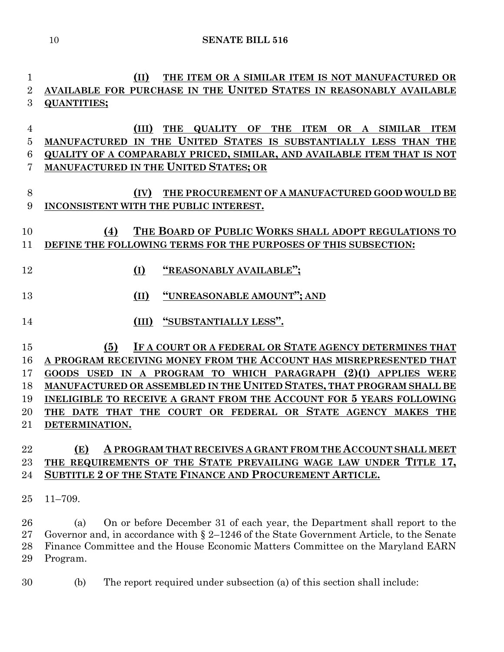**(II) THE ITEM OR A SIMILAR ITEM IS NOT MANUFACTURED OR AVAILABLE FOR PURCHASE IN THE UNITED STATES IN REASONABLY AVAILABLE QUANTITIES;**

 **(III) THE QUALITY OF THE ITEM OR A SIMILAR ITEM MANUFACTURED IN THE UNITED STATES IS SUBSTANTIALLY LESS THAN THE QUALITY OF A COMPARABLY PRICED, SIMILAR, AND AVAILABLE ITEM THAT IS NOT MANUFACTURED IN THE UNITED STATES; OR**

 **(IV) THE PROCUREMENT OF A MANUFACTURED GOOD WOULD BE INCONSISTENT WITH THE PUBLIC INTEREST.**

## **(4) THE BOARD OF PUBLIC WORKS SHALL ADOPT REGULATIONS TO DEFINE THE FOLLOWING TERMS FOR THE PURPOSES OF THIS SUBSECTION:**

- 
- **(I) "REASONABLY AVAILABLE";**
- **(II) "UNREASONABLE AMOUNT"; AND**
- **(III) "SUBSTANTIALLY LESS".**

 **(5) IF A COURT OR A FEDERAL OR STATE AGENCY DETERMINES THAT A PROGRAM RECEIVING MONEY FROM THE ACCOUNT HAS MISREPRESENTED THAT GOODS USED IN A PROGRAM TO WHICH PARAGRAPH (2)(I) APPLIES WERE MANUFACTURED OR ASSEMBLED IN THE UNITED STATES, THAT PROGRAM SHALL BE INELIGIBLE TO RECEIVE A GRANT FROM THE ACCOUNT FOR 5 YEARS FOLLOWING THE DATE THAT THE COURT OR FEDERAL OR STATE AGENCY MAKES THE DETERMINATION.**

## **(E) A PROGRAM THAT RECEIVES A GRANT FROM THE ACCOUNT SHALL MEET THE REQUIREMENTS OF THE STATE PREVAILING WAGE LAW UNDER TITLE 17, SUBTITLE 2 OF THE STATE FINANCE AND PROCUREMENT ARTICLE.**

11–709.

 (a) On or before December 31 of each year, the Department shall report to the Governor and, in accordance with § 2–1246 of the State Government Article, to the Senate Finance Committee and the House Economic Matters Committee on the Maryland EARN Program.

(b) The report required under subsection (a) of this section shall include: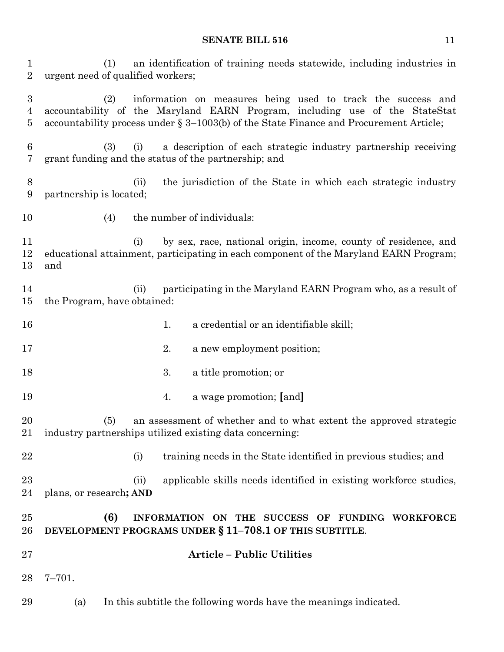(1) an identification of training needs statewide, including industries in urgent need of qualified workers; (2) information on measures being used to track the success and accountability of the Maryland EARN Program, including use of the StateStat accountability process under § 3–1003(b) of the State Finance and Procurement Article; (3) (i) a description of each strategic industry partnership receiving grant funding and the status of the partnership; and (ii) the jurisdiction of the State in which each strategic industry partnership is located; 10 (4) the number of individuals: (i) by sex, race, national origin, income, county of residence, and educational attainment, participating in each component of the Maryland EARN Program; and (ii) participating in the Maryland EARN Program who, as a result of the Program, have obtained: 16 16 1. a credential or an identifiable skill; 2. a new employment position; 3. a title promotion; or 4. a wage promotion; **[**and**]** (5) an assessment of whether and to what extent the approved strategic industry partnerships utilized existing data concerning: 22 (i) training needs in the State identified in previous studies; and (ii) applicable skills needs identified in existing workforce studies, plans, or research**; AND (6) INFORMATION ON THE SUCCESS OF FUNDING WORKFORCE** 

- **DEVELOPMENT PROGRAMS UNDER § 11–708.1 OF THIS SUBTITLE**. **Article – Public Utilities**
- 7–701.
- (a) In this subtitle the following words have the meanings indicated.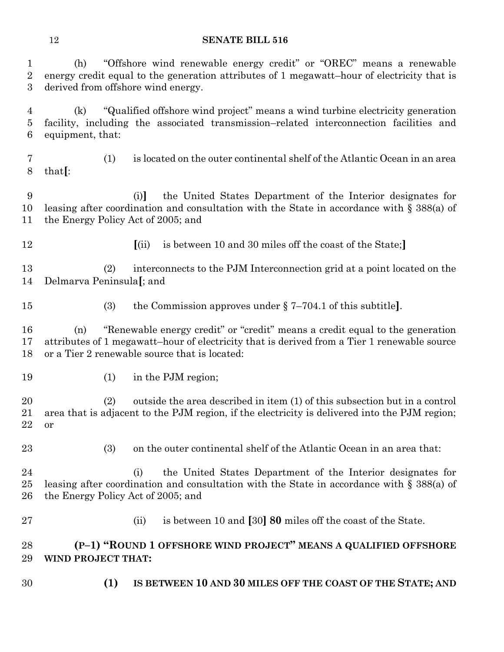(h) "Offshore wind renewable energy credit" or "OREC" means a renewable energy credit equal to the generation attributes of 1 megawatt–hour of electricity that is derived from offshore wind energy.

 (k) "Qualified offshore wind project" means a wind turbine electricity generation facility, including the associated transmission–related interconnection facilities and equipment, that:

 (1) is located on the outer continental shelf of the Atlantic Ocean in an area that**[**:

 (i)**]** the United States Department of the Interior designates for leasing after coordination and consultation with the State in accordance with § 388(a) of the Energy Policy Act of 2005; and

- 
- **[**(ii) is between 10 and 30 miles off the coast of the State;**]**

 (2) interconnects to the PJM Interconnection grid at a point located on the Delmarva Peninsula**[**; and

(3) the Commission approves under § 7–704.1 of this subtitle**]**.

 (n) "Renewable energy credit" or "credit" means a credit equal to the generation attributes of 1 megawatt–hour of electricity that is derived from a Tier 1 renewable source or a Tier 2 renewable source that is located:

19 (1) in the PJM region;

 (2) outside the area described in item (1) of this subsection but in a control area that is adjacent to the PJM region, if the electricity is delivered into the PJM region; or

(3) on the outer continental shelf of the Atlantic Ocean in an area that:

 (i) the United States Department of the Interior designates for leasing after coordination and consultation with the State in accordance with § 388(a) of the Energy Policy Act of 2005; and

(ii) is between 10 and **[**30**] 80** miles off the coast of the State.

## **(P–1) "ROUND 1 OFFSHORE WIND PROJECT" MEANS A QUALIFIED OFFSHORE WIND PROJECT THAT:**

**(1) IS BETWEEN 10 AND 30 MILES OFF THE COAST OF THE STATE; AND**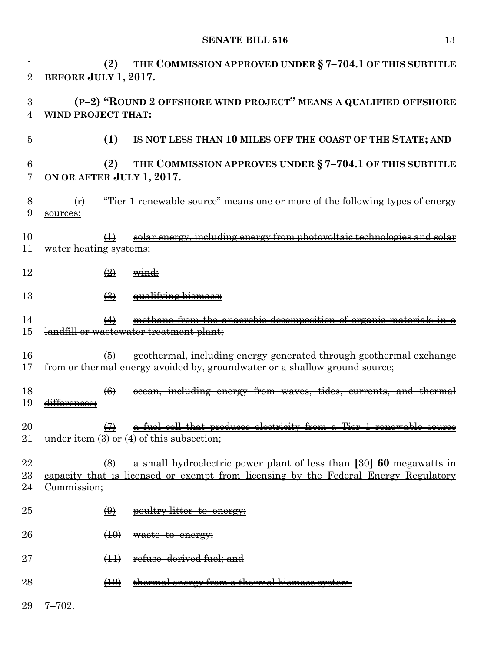| 1<br>$\overline{2}$ | (2)<br>BEFORE JULY 1, 2017.                            | THE COMMISSION APPROVED UNDER § 7-704.1 OF THIS SUBTITLE                                                                                                        |
|---------------------|--------------------------------------------------------|-----------------------------------------------------------------------------------------------------------------------------------------------------------------|
| 3<br>4              | WIND PROJECT THAT:                                     | (P-2) "ROUND 2 OFFSHORE WIND PROJECT" MEANS A QUALIFIED OFFSHORE                                                                                                |
| 5                   | (1)                                                    | IS NOT LESS THAN 10 MILES OFF THE COAST OF THE STATE; AND                                                                                                       |
| 6<br>7              | (2)<br>ON OR AFTER JULY 1, 2017.                       | THE COMMISSION APPROVES UNDER § 7-704.1 OF THIS SUBTITLE                                                                                                        |
| 8<br>9              | (r)<br>sources:                                        | <u>"Tier 1 renewable source" means one or more of the following types of energy</u>                                                                             |
| 10<br>11            | $\leftrightarrow$<br><del>water heating systems:</del> | solar energy, including energy from photovoltaic technologies                                                                                                   |
| 12                  | $\left(\frac{9}{2}\right)$                             |                                                                                                                                                                 |
| 13                  | $\bigoplus$                                            |                                                                                                                                                                 |
| 14<br>15            | $\leftrightarrow$                                      | methane from the anaerobic decomposition of<br>ndfill or wastewater treatment plant;                                                                            |
| 16<br>17            | (5)                                                    | <del>geothermal, including energy generated through geothermal excha</del><br><u>from or thermal energy avoided by, groundwater or a shallow ground source:</u> |
| 18<br>19            | $\left( 6 \right)$                                     |                                                                                                                                                                 |
| 20<br>21            |                                                        | <del>fuel cell that produces electricity from a Tier 1 renewable source</del><br>under item $(3)$ or $(4)$ of this subsection;                                  |
| 22<br>23<br>24      | (8)<br>Commission;                                     | a small hydroelectric power plant of less than [30] 60 megawatts in<br>capacity that is licensed or exempt from licensing by the Federal Energy Regulatory      |
| 25                  | $\bigoplus$                                            | poultry litter-to-energy;                                                                                                                                       |
| 26                  | (10)                                                   | waste to energy;                                                                                                                                                |
| 27                  | $\left(\downarrow \downarrow \downarrow \right)$       | refuse derived fuel: and                                                                                                                                        |
| 28                  | $\left(\frac{12}{2}\right)$                            | <del>thermal energy from a thermal-</del>                                                                                                                       |
| 29                  | $7 - 702.$                                             |                                                                                                                                                                 |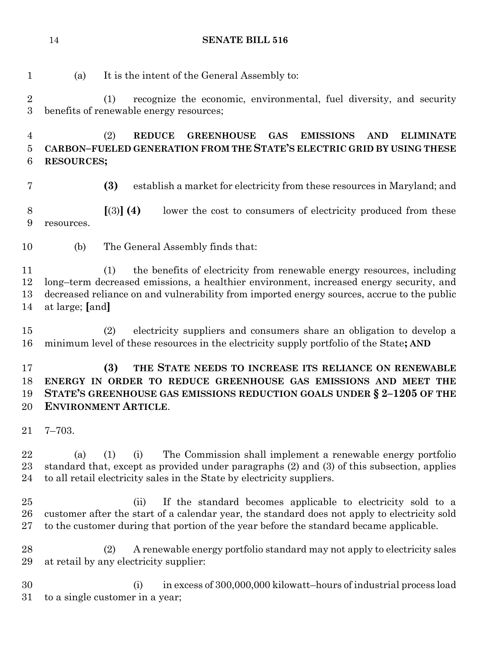| $\mathbf{1}$                   | (a)               | It is the intent of the General Assembly to:                                                                                                                                                                                                                          |
|--------------------------------|-------------------|-----------------------------------------------------------------------------------------------------------------------------------------------------------------------------------------------------------------------------------------------------------------------|
| $\sqrt{2}$<br>$\boldsymbol{3}$ |                   | (1)<br>recognize the economic, environmental, fuel diversity, and security<br>benefits of renewable energy resources;                                                                                                                                                 |
| $\overline{4}$<br>$\bf 5$<br>6 | <b>RESOURCES;</b> | (2)<br><b>REDUCE</b><br><b>GREENHOUSE</b><br><b>GAS</b><br><b>EMISSIONS</b><br><b>AND</b><br><b>ELIMINATE</b><br>CARBON-FUELED GENERATION FROM THE STATE'S ELECTRIC GRID BY USING THESE                                                                               |
| $\overline{7}$                 |                   | (3)<br>establish a market for electricity from these resources in Maryland; and                                                                                                                                                                                       |
| 8<br>9                         | resources.        | [(3)] (4)<br>lower the cost to consumers of electricity produced from these                                                                                                                                                                                           |
| 10                             | (b)               | The General Assembly finds that:                                                                                                                                                                                                                                      |
| 11<br>12<br>13<br>14           | at large; [and]   | the benefits of electricity from renewable energy resources, including<br>(1)<br>long-term decreased emissions, a healthier environment, increased energy security, and<br>decreased reliance on and vulnerability from imported energy sources, accrue to the public |
| 15<br>16                       |                   | electricity suppliers and consumers share an obligation to develop a<br>(2)<br>minimum level of these resources in the electricity supply portfolio of the State; AND                                                                                                 |
| 17<br>18<br>19<br>20           |                   | (3)<br>THE STATE NEEDS TO INCREASE ITS RELIANCE ON RENEWABLE<br>ENERGY IN ORDER TO REDUCE GREENHOUSE GAS EMISSIONS AND MEET THE<br>STATE'S GREENHOUSE GAS EMISSIONS REDUCTION GOALS UNDER $\S 2-1205$ OF THE<br><b>ENVIRONMENT ARTICLE.</b>                           |
| 21                             | $7 - 703.$        |                                                                                                                                                                                                                                                                       |
| 22<br>23<br>24                 | (a)               | The Commission shall implement a renewable energy portfolio<br>(1)<br>(i)<br>standard that, except as provided under paragraphs (2) and (3) of this subsection, applies<br>to all retail electricity sales in the State by electricity suppliers.                     |
| 25<br>26<br>27                 |                   | If the standard becomes applicable to electricity sold to a<br>(ii)<br>customer after the start of a calendar year, the standard does not apply to electricity sold<br>to the customer during that portion of the year before the standard became applicable.         |
| 28<br>29                       |                   | A renewable energy portfolio standard may not apply to electricity sales<br>(2)<br>at retail by any electricity supplier:                                                                                                                                             |
| 30<br>31                       |                   | in excess of 300,000,000 kilowatt-hours of industrial process load<br>(i)<br>to a single customer in a year;                                                                                                                                                          |

to a single customer in a year;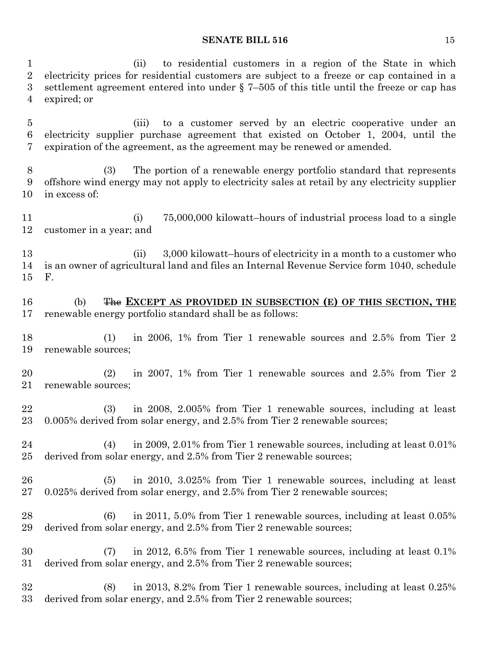(ii) to residential customers in a region of the State in which electricity prices for residential customers are subject to a freeze or cap contained in a settlement agreement entered into under § 7–505 of this title until the freeze or cap has expired; or

 (iii) to a customer served by an electric cooperative under an electricity supplier purchase agreement that existed on October 1, 2004, until the expiration of the agreement, as the agreement may be renewed or amended.

 (3) The portion of a renewable energy portfolio standard that represents offshore wind energy may not apply to electricity sales at retail by any electricity supplier in excess of:

 (i) 75,000,000 kilowatt–hours of industrial process load to a single customer in a year; and

13 (ii) 3,000 kilowatt–hours of electricity in a month to a customer who is an owner of agricultural land and files an Internal Revenue Service form 1040, schedule F.

 (b) The **EXCEPT AS PROVIDED IN SUBSECTION (E) OF THIS SECTION, THE**  renewable energy portfolio standard shall be as follows:

 (1) in 2006, 1% from Tier 1 renewable sources and 2.5% from Tier 2 renewable sources;

 (2) in 2007, 1% from Tier 1 renewable sources and 2.5% from Tier 2 renewable sources;

 (3) in 2008, 2.005% from Tier 1 renewable sources, including at least 0.005% derived from solar energy, and 2.5% from Tier 2 renewable sources;

 (4) in 2009, 2.01% from Tier 1 renewable sources, including at least 0.01% derived from solar energy, and 2.5% from Tier 2 renewable sources;

 (5) in 2010, 3.025% from Tier 1 renewable sources, including at least 0.025% derived from solar energy, and 2.5% from Tier 2 renewable sources;

 (6) in 2011, 5.0% from Tier 1 renewable sources, including at least 0.05% derived from solar energy, and 2.5% from Tier 2 renewable sources;

 (7) in 2012, 6.5% from Tier 1 renewable sources, including at least 0.1% derived from solar energy, and 2.5% from Tier 2 renewable sources;

 (8) in 2013, 8.2% from Tier 1 renewable sources, including at least 0.25% derived from solar energy, and 2.5% from Tier 2 renewable sources;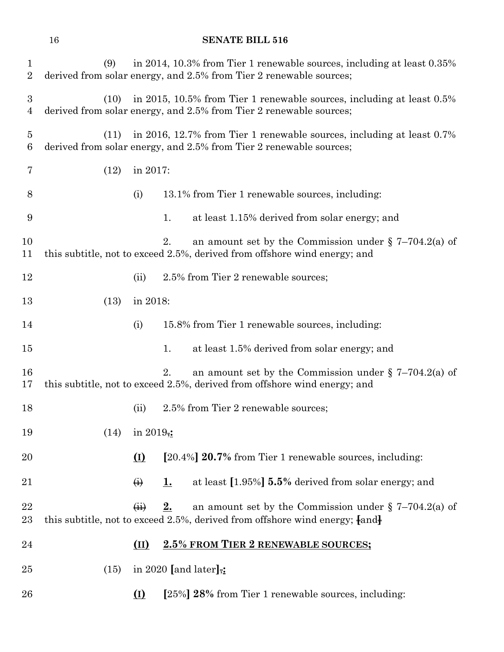| 1<br>$\overline{2}$   | (9)  |                   |    | in 2014, 10.3% from Tier 1 renewable sources, including at least 0.35%<br>derived from solar energy, and 2.5% from Tier 2 renewable sources;     |
|-----------------------|------|-------------------|----|--------------------------------------------------------------------------------------------------------------------------------------------------|
| $\boldsymbol{3}$<br>4 | (10) |                   |    | in 2015, 10.5% from Tier 1 renewable sources, including at least 0.5%<br>derived from solar energy, and 2.5% from Tier 2 renewable sources;      |
| $\overline{5}$<br>6   | (11) |                   |    | in 2016, 12.7% from Tier 1 renewable sources, including at least 0.7%<br>derived from solar energy, and 2.5% from Tier 2 renewable sources;      |
| 7                     | (12) | in 2017:          |    |                                                                                                                                                  |
| 8                     |      | (i)               |    | 13.1% from Tier 1 renewable sources, including:                                                                                                  |
| 9                     |      |                   | 1. | at least 1.15% derived from solar energy; and                                                                                                    |
| 10<br>11              |      |                   | 2. | an amount set by the Commission under $\S$ 7-704.2(a) of<br>this subtitle, not to exceed 2.5%, derived from offshore wind energy; and            |
| 12                    |      | (ii)              |    | 2.5% from Tier 2 renewable sources;                                                                                                              |
| 13                    | (13) | in 2018:          |    |                                                                                                                                                  |
| 14                    |      | (i)               |    | 15.8% from Tier 1 renewable sources, including:                                                                                                  |
| 15                    |      |                   | 1. | at least 1.5% derived from solar energy; and                                                                                                     |
| 16<br>17              |      |                   | 2. | an amount set by the Commission under $\S$ 7-704.2(a) of<br>this subtitle, not to exceed 2.5%, derived from offshore wind energy; and            |
| 18                    |      | (ii)              |    | 2.5% from Tier 2 renewable sources;                                                                                                              |
| 19                    | (14) | in 2019,:         |    |                                                                                                                                                  |
| 20                    |      | $\Omega$          |    | [20.4%] 20.7% from Tier 1 renewable sources, including:                                                                                          |
| 21                    |      | $\leftrightarrow$ | 1. | at least [1.95%] 5.5% derived from solar energy; and                                                                                             |
| 22<br>23              |      | $\overline{44}$   | 2. | an amount set by the Commission under $\S$ 7-704.2(a) of<br>this subtitle, not to exceed 2.5%, derived from offshore wind energy; $\text{and}$ } |
| 24                    |      | (II)              |    | 2.5% FROM TIER 2 RENEWABLE SOURCES;                                                                                                              |
| $25\,$                | (15) |                   |    | in 2020 [and later] $\frac{1}{2}$ :                                                                                                              |
| $26\,$                |      | (I)               |    | [25%] 28% from Tier 1 renewable sources, including:                                                                                              |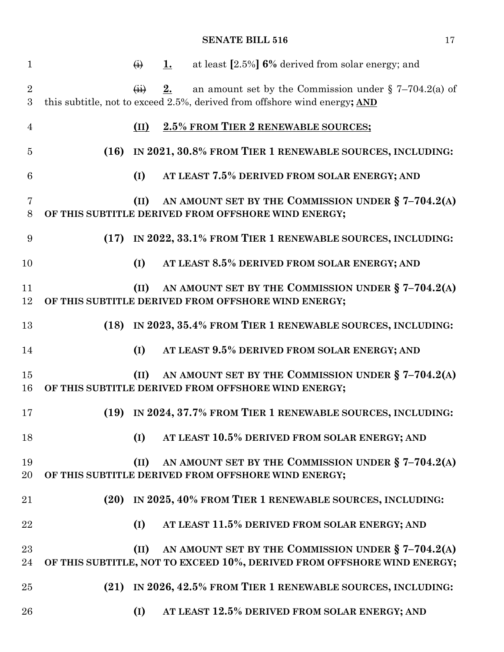| $\mathbf{1}$        |      | $\leftrightarrow$                | 1. | at least [2.5%] 6% derived from solar energy; and                                                                                     |
|---------------------|------|----------------------------------|----|---------------------------------------------------------------------------------------------------------------------------------------|
| $\overline{2}$<br>3 |      | $\overrightarrow{(\mathbf{ii})}$ | 2. | an amount set by the Commission under $\S$ 7-704.2(a) of<br>this subtitle, not to exceed 2.5%, derived from offshore wind energy; AND |
| $\overline{4}$      |      | (II)                             |    | 2.5% FROM TIER 2 RENEWABLE SOURCES;                                                                                                   |
| $\overline{5}$      |      |                                  |    | (16) IN 2021, 30.8% FROM TIER 1 RENEWABLE SOURCES, INCLUDING:                                                                         |
| 6                   |      | (I)                              |    | AT LEAST 7.5% DERIVED FROM SOLAR ENERGY; AND                                                                                          |
| $\overline{7}$<br>8 |      | (II)                             |    | AN AMOUNT SET BY THE COMMISSION UNDER § 7-704.2(A)<br>OF THIS SUBTITLE DERIVED FROM OFFSHORE WIND ENERGY;                             |
| 9                   | (17) |                                  |    | IN 2022, 33.1% FROM TIER 1 RENEWABLE SOURCES, INCLUDING:                                                                              |
| 10                  |      | (I)                              |    | AT LEAST 8.5% DERIVED FROM SOLAR ENERGY; AND                                                                                          |
| 11<br>12            |      | (II)                             |    | AN AMOUNT SET BY THE COMMISSION UNDER $\S 7-704.2(A)$<br>OF THIS SUBTITLE DERIVED FROM OFFSHORE WIND ENERGY;                          |
| 13                  | (18) |                                  |    | IN 2023, 35.4% FROM TIER 1 RENEWABLE SOURCES, INCLUDING:                                                                              |
| 14                  |      | (I)                              |    | AT LEAST 9.5% DERIVED FROM SOLAR ENERGY; AND                                                                                          |
| 15<br>16            |      | (II)                             |    | AN AMOUNT SET BY THE COMMISSION UNDER $\S 7-704.2(A)$<br>OF THIS SUBTITLE DERIVED FROM OFFSHORE WIND ENERGY;                          |
| 17                  |      |                                  |    | (19) IN 2024, 37.7% FROM TIER 1 RENEWABLE SOURCES, INCLUDING:                                                                         |
| 18                  |      | (I)                              |    | AT LEAST 10.5% DERIVED FROM SOLAR ENERGY; AND                                                                                         |
| 19<br>20            |      | (II)                             |    | AN AMOUNT SET BY THE COMMISSION UNDER $\S 7-704.2(A)$<br>OF THIS SUBTITLE DERIVED FROM OFFSHORE WIND ENERGY;                          |
| 21                  | (20) |                                  |    | IN 2025, 40% FROM TIER 1 RENEWABLE SOURCES, INCLUDING:                                                                                |
| 22                  |      | (I)                              |    | AT LEAST 11.5% DERIVED FROM SOLAR ENERGY; AND                                                                                         |
| 23<br>24            |      | (II)                             |    | AN AMOUNT SET BY THE COMMISSION UNDER § 7-704.2(A)<br>OF THIS SUBTITLE, NOT TO EXCEED 10%, DERIVED FROM OFFSHORE WIND ENERGY;         |
| 25                  | (21) |                                  |    | IN 2026, 42.5% FROM TIER 1 RENEWABLE SOURCES, INCLUDING:                                                                              |
| 26                  |      | (I)                              |    | AT LEAST 12.5% DERIVED FROM SOLAR ENERGY; AND                                                                                         |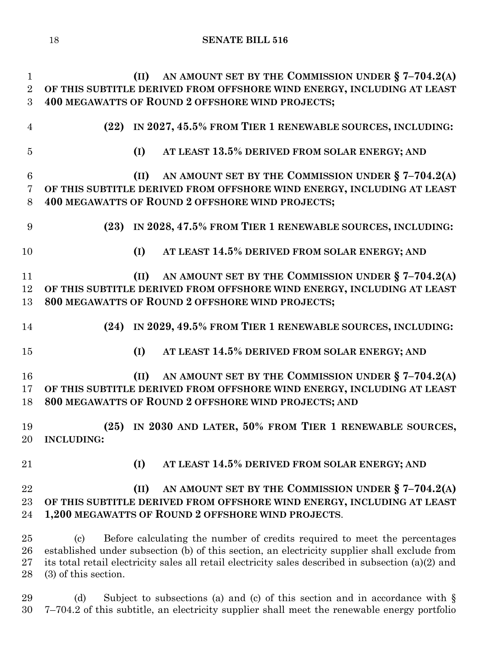**(II) AN AMOUNT SET BY THE COMMISSION UNDER § 7–704.2(A) OF THIS SUBTITLE DERIVED FROM OFFSHORE WIND ENERGY, INCLUDING AT LEAST 400 MEGAWATTS OF ROUND 2 OFFSHORE WIND PROJECTS; (22) IN 2027, 45.5% FROM TIER 1 RENEWABLE SOURCES, INCLUDING: (I) AT LEAST 13.5% DERIVED FROM SOLAR ENERGY; AND (II) AN AMOUNT SET BY THE COMMISSION UNDER § 7–704.2(A) OF THIS SUBTITLE DERIVED FROM OFFSHORE WIND ENERGY, INCLUDING AT LEAST 400 MEGAWATTS OF ROUND 2 OFFSHORE WIND PROJECTS; (23) IN 2028, 47.5% FROM TIER 1 RENEWABLE SOURCES, INCLUDING: (I) AT LEAST 14.5% DERIVED FROM SOLAR ENERGY; AND (II) AN AMOUNT SET BY THE COMMISSION UNDER § 7–704.2(A) OF THIS SUBTITLE DERIVED FROM OFFSHORE WIND ENERGY, INCLUDING AT LEAST 800 MEGAWATTS OF ROUND 2 OFFSHORE WIND PROJECTS; (24) IN 2029, 49.5% FROM TIER 1 RENEWABLE SOURCES, INCLUDING: (I) AT LEAST 14.5% DERIVED FROM SOLAR ENERGY; AND (II) AN AMOUNT SET BY THE COMMISSION UNDER § 7–704.2(A) OF THIS SUBTITLE DERIVED FROM OFFSHORE WIND ENERGY, INCLUDING AT LEAST 800 MEGAWATTS OF ROUND 2 OFFSHORE WIND PROJECTS; AND (25) IN 2030 AND LATER, 50% FROM TIER 1 RENEWABLE SOURCES, INCLUDING: (I) AT LEAST 14.5% DERIVED FROM SOLAR ENERGY; AND (II) AN AMOUNT SET BY THE COMMISSION UNDER § 7–704.2(A) OF THIS SUBTITLE DERIVED FROM OFFSHORE WIND ENERGY, INCLUDING AT LEAST 1,200 MEGAWATTS OF ROUND 2 OFFSHORE WIND PROJECTS**. (c) Before calculating the number of credits required to meet the percentages established under subsection (b) of this section, an electricity supplier shall exclude from its total retail electricity sales all retail electricity sales described in subsection (a)(2) and (3) of this section.

29 (d) Subject to subsections (a) and (c) of this section and in accordance with  $\S$ 7–704.2 of this subtitle, an electricity supplier shall meet the renewable energy portfolio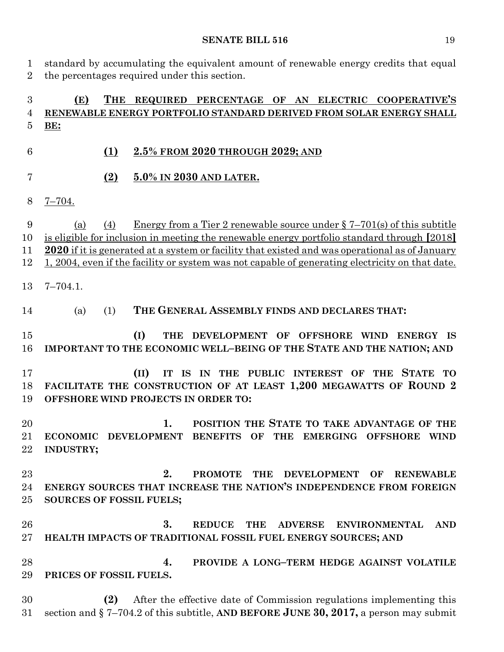standard by accumulating the equivalent amount of renewable energy credits that equal the percentages required under this section.

## **(E) THE REQUIRED PERCENTAGE OF AN ELECTRIC COOPERATIVE'S RENEWABLE ENERGY PORTFOLIO STANDARD DERIVED FROM SOLAR ENERGY SHALL BE:**

- **(1) 2.5% FROM 2020 THROUGH 2029; AND**
- **(2) 5.0% IN 2030 AND LATER.**
- 7–704.

 (a) (4) Energy from a Tier 2 renewable source under § 7–701(s) of this subtitle is eligible for inclusion in meeting the renewable energy portfolio standard through **[**2018**] 2020** if it is generated at a system or facility that existed and was operational as of January 1, 2004, even if the facility or system was not capable of generating electricity on that date.

7–704.1.

(a) (1) **THE GENERAL ASSEMBLY FINDS AND DECLARES THAT:**

 **(I) THE DEVELOPMENT OF OFFSHORE WIND ENERGY IS IMPORTANT TO THE ECONOMIC WELL–BEING OF THE STATE AND THE NATION; AND**

 **(II) IT IS IN THE PUBLIC INTEREST OF THE STATE TO FACILITATE THE CONSTRUCTION OF AT LEAST 1,200 MEGAWATTS OF ROUND 2 OFFSHORE WIND PROJECTS IN ORDER TO:**

 **1. POSITION THE STATE TO TAKE ADVANTAGE OF THE ECONOMIC DEVELOPMENT BENEFITS OF THE EMERGING OFFSHORE WIND INDUSTRY;**

 **2. PROMOTE THE DEVELOPMENT OF RENEWABLE ENERGY SOURCES THAT INCREASE THE NATION'S INDEPENDENCE FROM FOREIGN SOURCES OF FOSSIL FUELS;**

 **3. REDUCE THE ADVERSE ENVIRONMENTAL AND HEALTH IMPACTS OF TRADITIONAL FOSSIL FUEL ENERGY SOURCES; AND**

 **4. PROVIDE A LONG–TERM HEDGE AGAINST VOLATILE PRICES OF FOSSIL FUELS.**

 **(2)** After the effective date of Commission regulations implementing this section and § 7–704.2 of this subtitle, **AND BEFORE JUNE 30, 2017,** a person may submit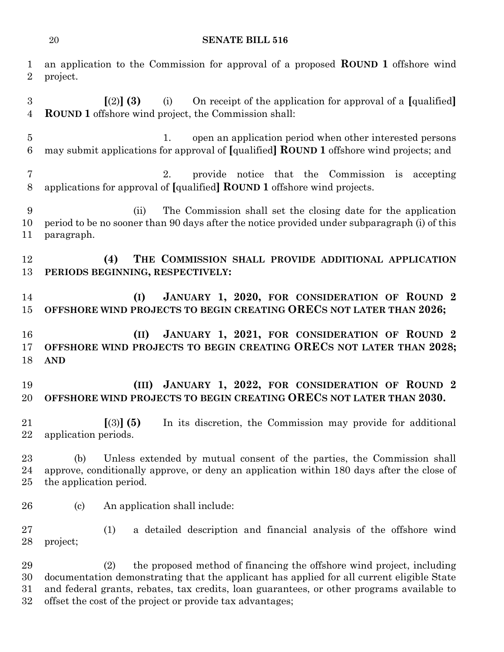| 1<br>$\overline{2}$                | an application to the Commission for approval of a proposed <b>ROUND</b> 1 offshore wind<br>project.                                                                                                                                                                                                                                |
|------------------------------------|-------------------------------------------------------------------------------------------------------------------------------------------------------------------------------------------------------------------------------------------------------------------------------------------------------------------------------------|
| $\boldsymbol{3}$<br>$\overline{4}$ | $(2)$ (3)<br>On receipt of the application for approval of a [qualified]<br>(i)<br><b>ROUND 1</b> offshore wind project, the Commission shall:                                                                                                                                                                                      |
| $\bf 5$<br>6                       | open an application period when other interested persons<br>1.<br>may submit applications for approval of [qualified] <b>ROUND 1</b> offshore wind projects; and                                                                                                                                                                    |
| 7<br>8                             | provide notice that the Commission is accepting<br>2.<br>applications for approval of [qualified] ROUND 1 offshore wind projects.                                                                                                                                                                                                   |
| 9<br>10<br>11                      | The Commission shall set the closing date for the application<br>(ii)<br>period to be no sooner than 90 days after the notice provided under subparagraph (i) of this<br>paragraph.                                                                                                                                                 |
| 12<br>13                           | THE COMMISSION SHALL PROVIDE ADDITIONAL APPLICATION<br>(4)<br>PERIODS BEGINNING, RESPECTIVELY:                                                                                                                                                                                                                                      |
| 14<br>15                           | JANUARY 1, 2020, FOR CONSIDERATION OF ROUND 2<br>(I)<br>OFFSHORE WIND PROJECTS TO BEGIN CREATING ORECS NOT LATER THAN 2026;                                                                                                                                                                                                         |
| 16<br>17<br>18                     | JANUARY 1, 2021, FOR CONSIDERATION OF ROUND 2<br>(II)<br>OFFSHORE WIND PROJECTS TO BEGIN CREATING ORECS NOT LATER THAN 2028;<br><b>AND</b>                                                                                                                                                                                          |
| 19<br>20                           | JANUARY 1, 2022, FOR CONSIDERATION OF ROUND 2<br>(III)<br>OFFSHORE WIND PROJECTS TO BEGIN CREATING ORECS NOT LATER THAN 2030.                                                                                                                                                                                                       |
| 21<br>22                           | In its discretion, the Commission may provide for additional<br>$[(3)]$ (5)<br>application periods.                                                                                                                                                                                                                                 |
| 23<br>24<br>25                     | Unless extended by mutual consent of the parties, the Commission shall<br>(b)<br>approve, conditionally approve, or deny an application within 180 days after the close of<br>the application period.                                                                                                                               |
| 26                                 | An application shall include:<br>$\left( \mathrm{c}\right)$                                                                                                                                                                                                                                                                         |
| 27<br>28                           | (1)<br>a detailed description and financial analysis of the offshore wind<br>project;                                                                                                                                                                                                                                               |
| 29<br>30<br>31<br>32               | the proposed method of financing the offshore wind project, including<br>(2)<br>documentation demonstrating that the applicant has applied for all current eligible State<br>and federal grants, rebates, tax credits, loan guarantees, or other programs available to<br>offset the cost of the project or provide tax advantages; |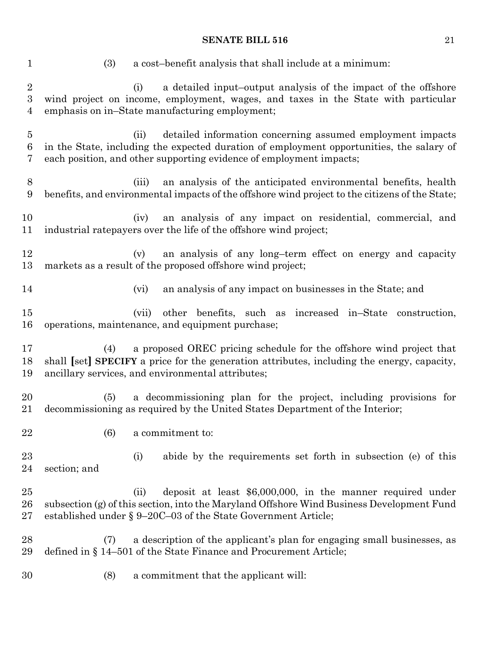(3) a cost–benefit analysis that shall include at a minimum: (i) a detailed input–output analysis of the impact of the offshore wind project on income, employment, wages, and taxes in the State with particular emphasis on in–State manufacturing employment; (ii) detailed information concerning assumed employment impacts in the State, including the expected duration of employment opportunities, the salary of each position, and other supporting evidence of employment impacts; (iii) an analysis of the anticipated environmental benefits, health benefits, and environmental impacts of the offshore wind project to the citizens of the State; (iv) an analysis of any impact on residential, commercial, and industrial ratepayers over the life of the offshore wind project; (v) an analysis of any long–term effect on energy and capacity markets as a result of the proposed offshore wind project; (vi) an analysis of any impact on businesses in the State; and (vii) other benefits, such as increased in–State construction, operations, maintenance, and equipment purchase; (4) a proposed OREC pricing schedule for the offshore wind project that shall **[**set**] SPECIFY** a price for the generation attributes, including the energy, capacity, ancillary services, and environmental attributes; (5) a decommissioning plan for the project, including provisions for decommissioning as required by the United States Department of the Interior; (6) a commitment to: (i) abide by the requirements set forth in subsection (e) of this section; and (ii) deposit at least \$6,000,000, in the manner required under subsection (g) of this section, into the Maryland Offshore Wind Business Development Fund established under § 9–20C–03 of the State Government Article; (7) a description of the applicant's plan for engaging small businesses, as defined in § 14–501 of the State Finance and Procurement Article; (8) a commitment that the applicant will: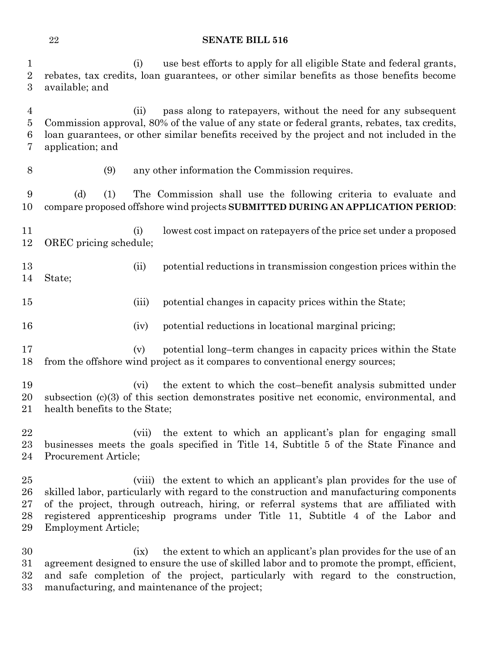(i) use best efforts to apply for all eligible State and federal grants, rebates, tax credits, loan guarantees, or other similar benefits as those benefits become available; and

 (ii) pass along to ratepayers, without the need for any subsequent Commission approval, 80% of the value of any state or federal grants, rebates, tax credits, loan guarantees, or other similar benefits received by the project and not included in the application; and

(9) any other information the Commission requires.

 (d) (1) The Commission shall use the following criteria to evaluate and compare proposed offshore wind projects **SUBMITTED DURING AN APPLICATION PERIOD**:

 (i) lowest cost impact on ratepayers of the price set under a proposed OREC pricing schedule;

 (ii) potential reductions in transmission congestion prices within the State;

- (iii) potential changes in capacity prices within the State;
- (iv) potential reductions in locational marginal pricing;
- (v) potential long–term changes in capacity prices within the State from the offshore wind project as it compares to conventional energy sources;

 (vi) the extent to which the cost–benefit analysis submitted under subsection (c)(3) of this section demonstrates positive net economic, environmental, and health benefits to the State;

 (vii) the extent to which an applicant's plan for engaging small businesses meets the goals specified in Title 14, Subtitle 5 of the State Finance and Procurement Article;

 (viii) the extent to which an applicant's plan provides for the use of skilled labor, particularly with regard to the construction and manufacturing components of the project, through outreach, hiring, or referral systems that are affiliated with registered apprenticeship programs under Title 11, Subtitle 4 of the Labor and Employment Article;

 (ix) the extent to which an applicant's plan provides for the use of an agreement designed to ensure the use of skilled labor and to promote the prompt, efficient, and safe completion of the project, particularly with regard to the construction, manufacturing, and maintenance of the project;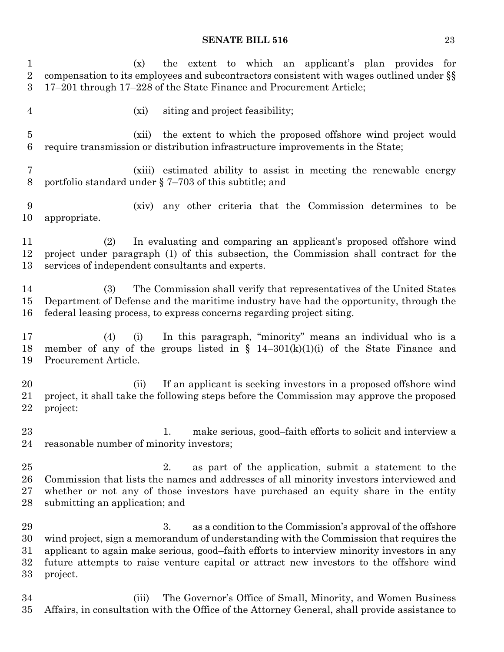| $\mathbf{1}$<br>$\sqrt{2}$<br>3 | the extent to which an applicant's plan provides for<br>(x)<br>compensation to its employees and subcontractors consistent with wages outlined under §§<br>17-201 through 17-228 of the State Finance and Procurement Article;                                                                                                                                  |
|---------------------------------|-----------------------------------------------------------------------------------------------------------------------------------------------------------------------------------------------------------------------------------------------------------------------------------------------------------------------------------------------------------------|
| $\overline{4}$                  | siting and project feasibility;<br>$(x_i)$                                                                                                                                                                                                                                                                                                                      |
| 5<br>$\boldsymbol{6}$           | the extent to which the proposed offshore wind project would<br>(xii)<br>require transmission or distribution infrastructure improvements in the State;                                                                                                                                                                                                         |
| 7<br>8                          | (xiii) estimated ability to assist in meeting the renewable energy<br>portfolio standard under $\S$ 7–703 of this subtitle; and                                                                                                                                                                                                                                 |
| 9<br>10                         | any other criteria that the Commission determines to be<br>(xiv)<br>appropriate.                                                                                                                                                                                                                                                                                |
| 11<br>12<br>13                  | In evaluating and comparing an applicant's proposed offshore wind<br>(2)<br>project under paragraph (1) of this subsection, the Commission shall contract for the<br>services of independent consultants and experts.                                                                                                                                           |
| 14<br>15<br>16                  | The Commission shall verify that representatives of the United States<br>(3)<br>Department of Defense and the maritime industry have had the opportunity, through the<br>federal leasing process, to express concerns regarding project siting.                                                                                                                 |
| 17<br>18<br>19                  | In this paragraph, "minority" means an individual who is a<br>(4)<br>(i)<br>member of any of the groups listed in $\S$ 14-301(k)(1)(i) of the State Finance and<br>Procurement Article.                                                                                                                                                                         |
| 20<br>21<br>22                  | If an applicant is seeking investors in a proposed offshore wind<br>(ii)<br>project, it shall take the following steps before the Commission may approve the proposed<br>project:                                                                                                                                                                               |
| 23<br>24                        | make serious, good-faith efforts to solicit and interview a<br>1.<br>reasonable number of minority investors;                                                                                                                                                                                                                                                   |
| 25<br>26<br>27<br>28            | 2.<br>as part of the application, submit a statement to the<br>Commission that lists the names and addresses of all minority investors interviewed and<br>whether or not any of those investors have purchased an equity share in the entity<br>submitting an application; and                                                                                  |
| 29<br>30<br>31<br>32<br>33      | 3.<br>as a condition to the Commission's approval of the offshore<br>wind project, sign a memorandum of understanding with the Commission that requires the<br>applicant to again make serious, good-faith efforts to interview minority investors in any<br>future attempts to raise venture capital or attract new investors to the offshore wind<br>project. |
| 34<br>35                        | The Governor's Office of Small, Minority, and Women Business<br>(iii)<br>Affairs, in consultation with the Office of the Attorney General, shall provide assistance to                                                                                                                                                                                          |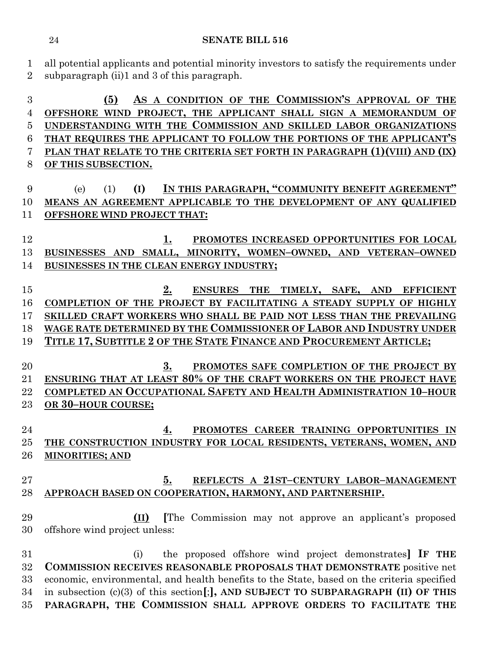all potential applicants and potential minority investors to satisfy the requirements under

 **(5) AS A CONDITION OF THE COMMISSION'S APPROVAL OF THE OFFSHORE WIND PROJECT, THE APPLICANT SHALL SIGN A MEMORANDUM OF UNDERSTANDING WITH THE COMMISSION AND SKILLED LABOR ORGANIZATIONS THAT REQUIRES THE APPLICANT TO FOLLOW THE PORTIONS OF THE APPLICANT'S PLAN THAT RELATE TO THE CRITERIA SET FORTH IN PARAGRAPH (1)(VIII) AND (IX) OF THIS SUBSECTION.** (e) (1) **(I) IN THIS PARAGRAPH, "COMMUNITY BENEFIT AGREEMENT" MEANS AN AGREEMENT APPLICABLE TO THE DEVELOPMENT OF ANY QUALIFIED OFFSHORE WIND PROJECT THAT: 1. PROMOTES INCREASED OPPORTUNITIES FOR LOCAL BUSINESSES AND SMALL, MINORITY, WOMEN–OWNED, AND VETERAN–OWNED BUSINESSES IN THE CLEAN ENERGY INDUSTRY; 2. ENSURES THE TIMELY, SAFE, AND EFFICIENT COMPLETION OF THE PROJECT BY FACILITATING A STEADY SUPPLY OF HIGHLY SKILLED CRAFT WORKERS WHO SHALL BE PAID NOT LESS THAN THE PREVAILING WAGE RATE DETERMINED BY THE COMMISSIONER OF LABOR AND INDUSTRY UNDER TITLE 17, SUBTITLE 2 OF THE STATE FINANCE AND PROCUREMENT ARTICLE; 3. PROMOTES SAFE COMPLETION OF THE PROJECT BY ENSURING THAT AT LEAST 80% OF THE CRAFT WORKERS ON THE PROJECT HAVE COMPLETED AN OCCUPATIONAL SAFETY AND HEALTH ADMINISTRATION 10–HOUR OR 30–HOUR COURSE; 4. PROMOTES CAREER TRAINING OPPORTUNITIES IN THE CONSTRUCTION INDUSTRY FOR LOCAL RESIDENTS, VETERANS, WOMEN, AND MINORITIES; AND 5. REFLECTS A 21ST–CENTURY LABOR–MANAGEMENT APPROACH BASED ON COOPERATION, HARMONY, AND PARTNERSHIP. (II) [**The Commission may not approve an applicant's proposed offshore wind project unless: (i) the proposed offshore wind project demonstrates**] IF THE COMMISSION RECEIVES REASONABLE PROPOSALS THAT DEMONSTRATE** positive net economic, environmental, and health benefits to the State, based on the criteria specified in subsection (c)(3) of this section**[**;**], AND SUBJECT TO SUBPARAGRAPH (II) OF THIS PARAGRAPH, THE COMMISSION SHALL APPROVE ORDERS TO FACILITATE THE** 

subparagraph (ii)1 and 3 of this paragraph.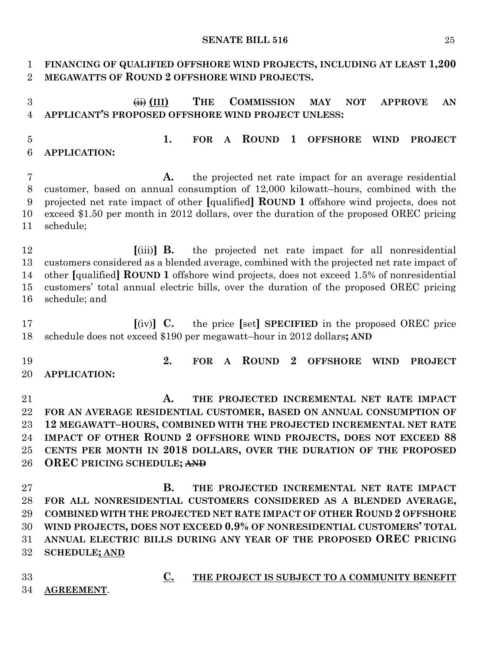| 1<br>$\overline{2}$                          | FINANCING OF QUALIFIED OFFSHORE WIND PROJECTS, INCLUDING AT LEAST 1,200<br>MEGAWATTS OF ROUND 2 OFFSHORE WIND PROJECTS.                                                                                                                                                                                                                                                                               |
|----------------------------------------------|-------------------------------------------------------------------------------------------------------------------------------------------------------------------------------------------------------------------------------------------------------------------------------------------------------------------------------------------------------------------------------------------------------|
| 3<br>$\overline{4}$                          | <b>THE</b><br>$\overline{H}$ $\overline{H}$ $\overline{H}$ $\overline{H}$<br><b>COMMISSION</b><br><b>NOT</b><br><b>APPROVE</b><br><b>MAY</b><br>AN<br>APPLICANT'S PROPOSED OFFSHORE WIND PROJECT UNLESS:                                                                                                                                                                                              |
| $\overline{5}$<br>6                          | 1.<br><b>ROUND</b><br>$\mathbf{1}$<br><b>OFFSHORE</b><br><b>FOR</b><br><b>WIND</b><br><b>PROJECT</b><br>$\mathbf{A}$<br><b>APPLICATION:</b>                                                                                                                                                                                                                                                           |
| 7<br>8<br>9<br>10<br>11                      | the projected net rate impact for an average residential<br>A.<br>customer, based on annual consumption of 12,000 kilowatt-hours, combined with the<br>projected net rate impact of other [qualified] <b>ROUND 1</b> offshore wind projects, does not<br>exceed \$1.50 per month in 2012 dollars, over the duration of the proposed OREC pricing<br>schedule;                                         |
| 12<br>13<br>14<br>15<br>16                   | $\left[\text{(iii)}\right]$ <b>B.</b> the projected net rate impact for all nonresidential<br>customers considered as a blended average, combined with the projected net rate impact of<br>other [qualified] <b>ROUND 1</b> offshore wind projects, does not exceed 1.5% of nonresidential<br>customers' total annual electric bills, over the duration of the proposed OREC pricing<br>schedule; and |
| 17<br>18                                     | $\left[\text{(iv)}\right]$ C. the price $\left[\text{set}\right]$ SPECIFIED in the proposed OREC price<br>schedule does not exceed \$190 per megawatt-hour in 2012 dollars; AND                                                                                                                                                                                                                       |
| 19<br>20                                     | 2.<br><b>ROUND</b><br>$\bf{2}$<br><b>FOR</b><br><b>OFFSHORE</b><br><b>WIND</b><br><b>PROJECT</b><br>$\mathbf{A}$<br><b>APPLICATION:</b>                                                                                                                                                                                                                                                               |
| 21<br>22<br>$23\,$<br>24<br>$25\,$<br>26     | A.<br>THE PROJECTED INCREMENTAL NET RATE IMPACT<br>FOR AN AVERAGE RESIDENTIAL CUSTOMER, BASED ON ANNUAL CONSUMPTION OF<br>12 MEGAWATT-HOURS, COMBINED WITH THE PROJECTED INCREMENTAL NET RATE<br>IMPACT OF OTHER ROUND 2 OFFSHORE WIND PROJECTS, DOES NOT EXCEED 88<br>CENTS PER MONTH IN 2018 DOLLARS, OVER THE DURATION OF THE PROPOSED<br><b>OREC PRICING SCHEDULE; AND</b>                        |
| $27\,$<br>28<br>29<br>30<br>$31\,$<br>$32\,$ | В.<br>THE PROJECTED INCREMENTAL NET RATE IMPACT<br>FOR ALL NONRESIDENTIAL CUSTOMERS CONSIDERED AS A BLENDED AVERAGE,<br><b>COMBINED WITH THE PROJECTED NET RATE IMPACT OF OTHER ROUND 2 OFFSHORE</b><br>WIND PROJECTS, DOES NOT EXCEED 0.9% OF NONRESIDENTIAL CUSTOMERS' TOTAL<br>ANNUAL ELECTRIC BILLS DURING ANY YEAR OF THE PROPOSED OREC PRICING<br><b>SCHEDULE; AND</b>                          |

- **AGREEMENT**.
- **C. THE PROJECT IS SUBJECT TO A COMMUNITY BENEFIT**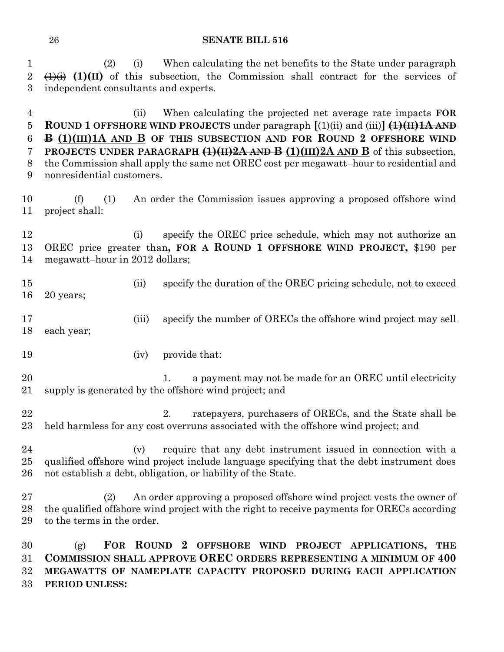(2) (i) When calculating the net benefits to the State under paragraph  $2 \left( \frac{1}{4} \right)$  (1)(II) of this subsection, the Commission shall contract for the services of independent consultants and experts.

 (ii) When calculating the projected net average rate impacts **FOR ROUND 1 OFFSHORE WIND PROJECTS** under paragraph **[**(1)(ii) and (iii)**] (1)(II)1A AND B (1)(III)1A AND B OF THIS SUBSECTION AND FOR ROUND 2 OFFSHORE WIND PROJECTS UNDER PARAGRAPH (1)(II)2A AND B (1)(III)2A AND B** of this subsection, the Commission shall apply the same net OREC cost per megawatt–hour to residential and nonresidential customers.

 (f) (1) An order the Commission issues approving a proposed offshore wind project shall:

12 (i) specify the OREC price schedule, which may not authorize an OREC price greater than**, FOR A ROUND 1 OFFSHORE WIND PROJECT,** \$190 per megawatt–hour in 2012 dollars;

- (ii) specify the duration of the OREC pricing schedule, not to exceed 20 years;
- (iii) specify the number of ORECs the offshore wind project may sell each year;
- 19 (iv) provide that:
- 20 1. a payment may not be made for an OREC until electricity supply is generated by the offshore wind project; and
- 22 2. ratepayers, purchasers of ORECs, and the State shall be held harmless for any cost overruns associated with the offshore wind project; and
- (v) require that any debt instrument issued in connection with a qualified offshore wind project include language specifying that the debt instrument does not establish a debt, obligation, or liability of the State.

 (2) An order approving a proposed offshore wind project vests the owner of the qualified offshore wind project with the right to receive payments for ORECs according to the terms in the order.

 (g) **FOR ROUND 2 OFFSHORE WIND PROJECT APPLICATIONS, THE COMMISSION SHALL APPROVE OREC ORDERS REPRESENTING A MINIMUM OF 400 MEGAWATTS OF NAMEPLATE CAPACITY PROPOSED DURING EACH APPLICATION PERIOD UNLESS:**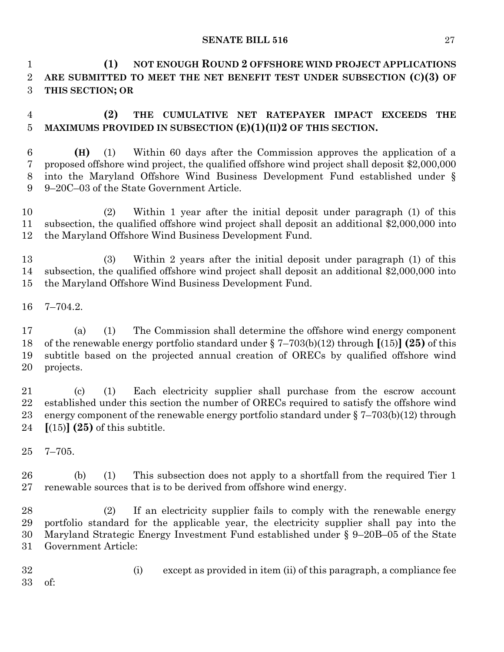**(1) NOT ENOUGH ROUND 2 OFFSHORE WIND PROJECT APPLICATIONS ARE SUBMITTED TO MEET THE NET BENEFIT TEST UNDER SUBSECTION (C)(3) OF THIS SECTION; OR**

 **(2) THE CUMULATIVE NET RATEPAYER IMPACT EXCEEDS THE MAXIMUMS PROVIDED IN SUBSECTION (E)(1)(II)2 OF THIS SECTION.**

 **(H)** (1) Within 60 days after the Commission approves the application of a proposed offshore wind project, the qualified offshore wind project shall deposit \$2,000,000 into the Maryland Offshore Wind Business Development Fund established under § 9–20C–03 of the State Government Article.

 (2) Within 1 year after the initial deposit under paragraph (1) of this subsection, the qualified offshore wind project shall deposit an additional \$2,000,000 into the Maryland Offshore Wind Business Development Fund.

 (3) Within 2 years after the initial deposit under paragraph (1) of this subsection, the qualified offshore wind project shall deposit an additional \$2,000,000 into the Maryland Offshore Wind Business Development Fund.

7–704.2.

 (a) (1) The Commission shall determine the offshore wind energy component of the renewable energy portfolio standard under § 7–703(b)(12) through **[**(15)**] (25)** of this subtitle based on the projected annual creation of ORECs by qualified offshore wind projects.

 (c) (1) Each electricity supplier shall purchase from the escrow account established under this section the number of ORECs required to satisfy the offshore wind energy component of the renewable energy portfolio standard under § 7–703(b)(12) through **[**(15)**] (25)** of this subtitle.

7–705.

 (b) (1) This subsection does not apply to a shortfall from the required Tier 1 renewable sources that is to be derived from offshore wind energy.

 (2) If an electricity supplier fails to comply with the renewable energy portfolio standard for the applicable year, the electricity supplier shall pay into the Maryland Strategic Energy Investment Fund established under § 9–20B–05 of the State Government Article:

 (i) except as provided in item (ii) of this paragraph, a compliance fee of: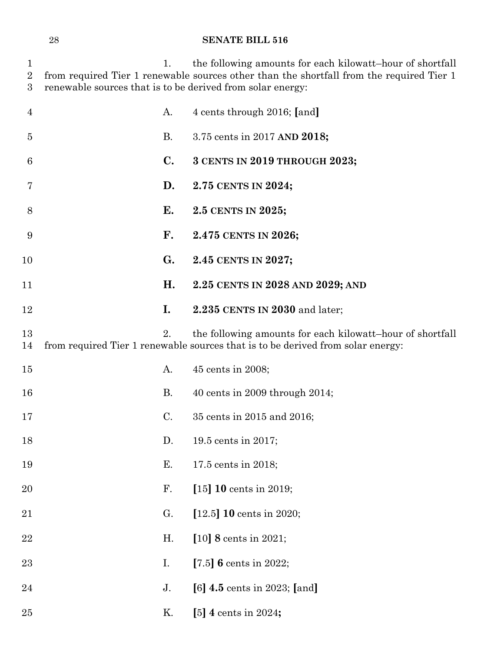| $\mathbf 1$<br>$\overline{2}$<br>3 | 1.<br>renewable sources that is to be derived from solar energy: | the following amounts for each kilowatt-hour of shortfall<br>from required Tier 1 renewable sources other than the shortfall from the required Tier 1 |
|------------------------------------|------------------------------------------------------------------|-------------------------------------------------------------------------------------------------------------------------------------------------------|
| $\overline{4}$                     | A.                                                               | 4 cents through 2016; [and]                                                                                                                           |
| 5                                  | <b>B.</b>                                                        | 3.75 cents in 2017 AND 2018;                                                                                                                          |
| 6                                  | $\mathbf{C}$ .                                                   | 3 CENTS IN 2019 THROUGH 2023;                                                                                                                         |
| 7                                  | D.                                                               | 2.75 CENTS IN 2024;                                                                                                                                   |
| 8                                  | Е.                                                               | 2.5 CENTS IN 2025;                                                                                                                                    |
| 9                                  | F.                                                               | 2.475 CENTS IN 2026;                                                                                                                                  |
| 10                                 | $G_{\bullet}$                                                    | 2.45 CENTS IN 2027;                                                                                                                                   |
| 11                                 | Η.                                                               | 2.25 CENTS IN 2028 AND 2029; AND                                                                                                                      |
| 12                                 | I.                                                               | 2.235 CENTS IN 2030 and later;                                                                                                                        |
| 13<br>14                           | 2.                                                               | the following amounts for each kilowatt-hour of shortfall<br>from required Tier 1 renewable sources that is to be derived from solar energy:          |
| 15                                 | A.                                                               | 45 cents in 2008;                                                                                                                                     |
| 16                                 | <b>B.</b>                                                        | 40 cents in 2009 through $2014$ ;                                                                                                                     |
| 17                                 | C.                                                               | 35 cents in 2015 and 2016;                                                                                                                            |
| 18                                 | D.                                                               | 19.5 cents in 2017;                                                                                                                                   |
| 19                                 | Ε.                                                               | 17.5 cents in 2018;                                                                                                                                   |
| 20                                 | F.                                                               | [15] 10 cents in 2019;                                                                                                                                |
| 21                                 | G.                                                               | [12.5] <b>10</b> cents in 2020;                                                                                                                       |
| 22                                 | H.                                                               | [10] 8 cents in 2021;                                                                                                                                 |
| 23                                 | I.                                                               | [7.5] 6 cents in 2022;                                                                                                                                |
| 24                                 | J.                                                               | [6] $4.5$ cents in 2023; [and]                                                                                                                        |
| 25                                 | Κ.                                                               | [5] 4 cents in 2024;                                                                                                                                  |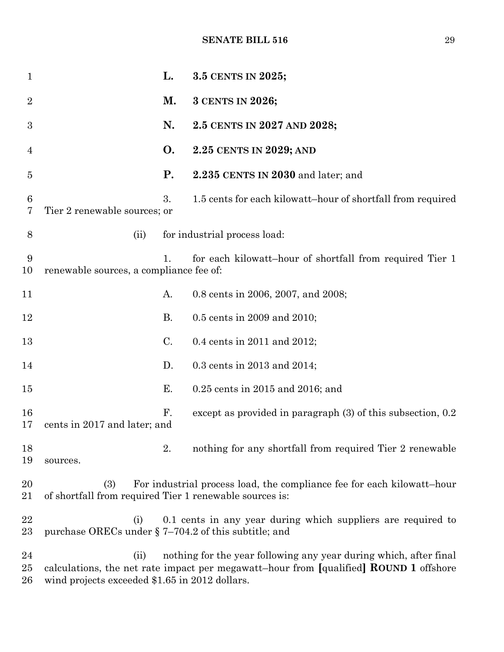| $\mathbf 1$      |                                                                | L.             | 3.5 CENTS IN 2025;                                                                                                                                         |
|------------------|----------------------------------------------------------------|----------------|------------------------------------------------------------------------------------------------------------------------------------------------------------|
| $\overline{2}$   |                                                                | М.             | 3 CENTS IN 2026;                                                                                                                                           |
| $\boldsymbol{3}$ |                                                                | N.             | 2.5 CENTS IN 2027 AND 2028;                                                                                                                                |
| $\overline{4}$   |                                                                | O.             | 2.25 CENTS IN 2029; AND                                                                                                                                    |
| $\overline{5}$   |                                                                | <b>P.</b>      | 2.235 CENTS IN 2030 and later; and                                                                                                                         |
| 6<br>7           | Tier 2 renewable sources; or                                   | 3.             | 1.5 cents for each kilowatt-hour of shortfall from required                                                                                                |
| 8                | (ii)                                                           |                | for industrial process load:                                                                                                                               |
| 9<br>10          | renewable sources, a compliance fee of:                        | 1 <sub>1</sub> | for each kilowatt-hour of shortfall from required Tier 1                                                                                                   |
| 11               |                                                                | A.             | 0.8 cents in 2006, 2007, and 2008;                                                                                                                         |
| 12               |                                                                | <b>B.</b>      | 0.5 cents in 2009 and 2010;                                                                                                                                |
| 13               |                                                                | C.             | 0.4 cents in 2011 and 2012;                                                                                                                                |
| 14               |                                                                | D.             | 0.3 cents in 2013 and 2014;                                                                                                                                |
| 15               |                                                                | Ε.             | 0.25 cents in 2015 and 2016; and                                                                                                                           |
| 16<br>17         | cents in 2017 and later; and                                   | F.             | except as provided in paragraph (3) of this subsection, 0.2                                                                                                |
| 18<br>19         | sources.                                                       | 2.             | nothing for any shortfall from required Tier 2 renewable                                                                                                   |
| 20<br>21         | (3)<br>of shortfall from required Tier 1 renewable sources is: |                | For industrial process load, the compliance fee for each kilowatt-hour                                                                                     |
| 22<br>$23\,$     | (i)<br>purchase ORECs under $\S$ 7-704.2 of this subtitle; and |                | 0.1 cents in any year during which suppliers are required to                                                                                               |
| 24<br>$25\,$     | (ii)                                                           |                | nothing for the year following any year during which, after final<br>calculations, the net rate impact per megawatt-hour from [qualified] ROUND 1 offshore |

wind projects exceeded \$1.65 in 2012 dollars.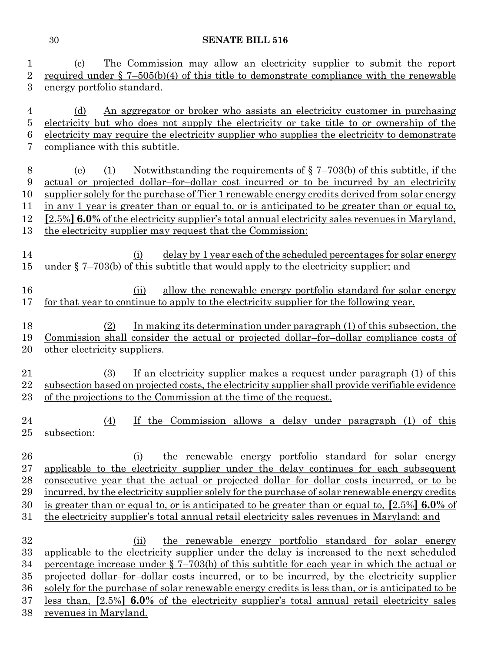| 1                                          | The Commission may allow an electricity supplier to submit the report<br>(c)                                                                                                                                                                                                                                                                                                                                                                                                                                                                                                                             |  |  |  |  |
|--------------------------------------------|----------------------------------------------------------------------------------------------------------------------------------------------------------------------------------------------------------------------------------------------------------------------------------------------------------------------------------------------------------------------------------------------------------------------------------------------------------------------------------------------------------------------------------------------------------------------------------------------------------|--|--|--|--|
| $\overline{2}$                             | required under $\S$ 7-505(b)(4) of this title to demonstrate compliance with the renewable                                                                                                                                                                                                                                                                                                                                                                                                                                                                                                               |  |  |  |  |
| 3                                          | energy portfolio standard.                                                                                                                                                                                                                                                                                                                                                                                                                                                                                                                                                                               |  |  |  |  |
| 4<br>5<br>6<br>7                           | An aggregator or broker who assists an electricity customer in purchasing<br>(d)<br>electricity but who does not supply the electricity or take title to or ownership of the<br>electricity may require the electricity supplier who supplies the electricity to demonstrate<br>compliance with this subtitle.                                                                                                                                                                                                                                                                                           |  |  |  |  |
| 8<br>9<br>10<br>11<br>12<br>13             | Notwithstanding the requirements of $\S$ 7-703(b) of this subtitle, if the<br>(1)<br>(e)<br>actual or projected dollar-for-dollar cost incurred or to be incurred by an electricity<br>supplier solely for the purchase of Tier 1 renewable energy credits derived from solar energy<br>in any 1 year is greater than or equal to, or is anticipated to be greater than or equal to.<br>[2.5%] 6.0% of the electricity supplier's total annual electricity sales revenues in Maryland,<br>the electricity supplier may request that the Commission:                                                      |  |  |  |  |
| 14<br>$15\,$                               | delay by 1 year each of the scheduled percentages for solar energy<br>(i)<br>under $\S$ 7–703(b) of this subtitle that would apply to the electricity supplier; and                                                                                                                                                                                                                                                                                                                                                                                                                                      |  |  |  |  |
| 16<br>17                                   | allow the renewable energy portfolio standard for solar energy<br>(ii)<br>for that year to continue to apply to the electricity supplier for the following year.                                                                                                                                                                                                                                                                                                                                                                                                                                         |  |  |  |  |
| 18<br>19<br>20                             | In making its determination under paragraph (1) of this subsection, the<br>(2)<br><u>Commission shall consider the actual or projected dollar-for-dollar compliance costs of</u><br>other electricity suppliers.                                                                                                                                                                                                                                                                                                                                                                                         |  |  |  |  |
| 21<br>22<br>$23\,$                         | If an electricity supplier makes a request under paragraph (1) of this<br>(3)<br>subsection based on projected costs, the electricity supplier shall provide verifiable evidence<br>of the projections to the Commission at the time of the request.                                                                                                                                                                                                                                                                                                                                                     |  |  |  |  |
| 24<br>25                                   | If the Commission allows a delay under paragraph (1) of this<br>(4)<br>subsection:                                                                                                                                                                                                                                                                                                                                                                                                                                                                                                                       |  |  |  |  |
| 26<br>27<br>28<br>29<br>30<br>$31\,$       | the renewable energy portfolio standard for solar energy<br>(i)<br>applicable to the electricity supplier under the delay continues for each subsequent<br>consecutive year that the actual or projected dollar-for-dollar costs incurred, or to be<br>incurred, by the electricity supplier solely for the purchase of solar renewable energy credits<br>is greater than or equal to, or is anticipated to be greater than or equal to, $[2.5\%]$ 6.0% of<br>the electricity supplier's total annual retail electricity sales revenues in Maryland; and                                                 |  |  |  |  |
| 32<br>33<br>34<br>$35\,$<br>36<br>37<br>38 | the renewable energy portfolio standard for solar energy<br>(ii)<br>applicable to the electricity supplier under the delay is increased to the next scheduled<br><u>percentage increase under <math>\S</math> 7–703(b)</u> of this subtitle for each year in which the actual or<br>projected dollar-for-dollar costs incurred, or to be incurred, by the electricity supplier<br>solely for the purchase of solar renewable energy credits is less than, or is anticipated to be<br>less than, [2.5%] 6.0% of the electricity supplier's total annual retail electricity sales<br>revenues in Maryland. |  |  |  |  |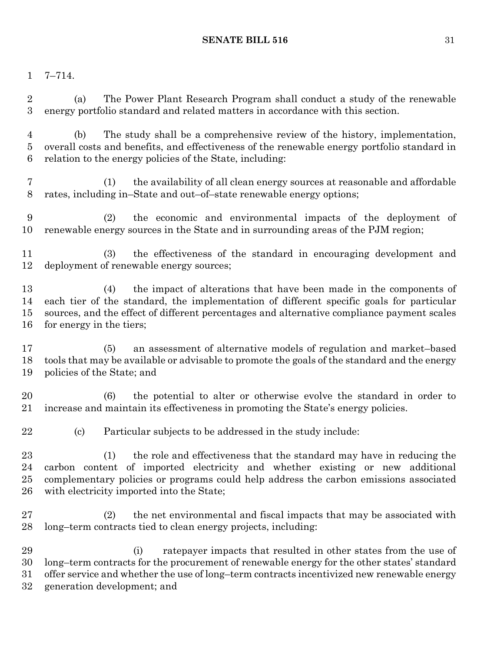## 7–714.

 (a) The Power Plant Research Program shall conduct a study of the renewable energy portfolio standard and related matters in accordance with this section.

 (b) The study shall be a comprehensive review of the history, implementation, overall costs and benefits, and effectiveness of the renewable energy portfolio standard in relation to the energy policies of the State, including:

 (1) the availability of all clean energy sources at reasonable and affordable rates, including in–State and out–of–state renewable energy options;

 (2) the economic and environmental impacts of the deployment of renewable energy sources in the State and in surrounding areas of the PJM region;

 (3) the effectiveness of the standard in encouraging development and deployment of renewable energy sources;

 (4) the impact of alterations that have been made in the components of each tier of the standard, the implementation of different specific goals for particular sources, and the effect of different percentages and alternative compliance payment scales for energy in the tiers;

 (5) an assessment of alternative models of regulation and market–based tools that may be available or advisable to promote the goals of the standard and the energy policies of the State; and

 (6) the potential to alter or otherwise evolve the standard in order to increase and maintain its effectiveness in promoting the State's energy policies.

(c) Particular subjects to be addressed in the study include:

 (1) the role and effectiveness that the standard may have in reducing the carbon content of imported electricity and whether existing or new additional complementary policies or programs could help address the carbon emissions associated with electricity imported into the State;

 (2) the net environmental and fiscal impacts that may be associated with long–term contracts tied to clean energy projects, including:

 (i) ratepayer impacts that resulted in other states from the use of long–term contracts for the procurement of renewable energy for the other states' standard offer service and whether the use of long–term contracts incentivized new renewable energy generation development; and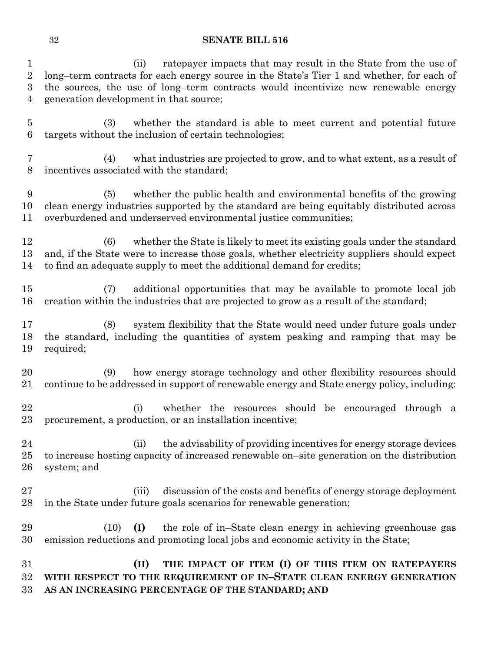(ii) ratepayer impacts that may result in the State from the use of long–term contracts for each energy source in the State's Tier 1 and whether, for each of the sources, the use of long–term contracts would incentivize new renewable energy generation development in that source;

 (3) whether the standard is able to meet current and potential future targets without the inclusion of certain technologies;

 (4) what industries are projected to grow, and to what extent, as a result of incentives associated with the standard;

 (5) whether the public health and environmental benefits of the growing clean energy industries supported by the standard are being equitably distributed across overburdened and underserved environmental justice communities;

 (6) whether the State is likely to meet its existing goals under the standard and, if the State were to increase those goals, whether electricity suppliers should expect to find an adequate supply to meet the additional demand for credits;

 (7) additional opportunities that may be available to promote local job creation within the industries that are projected to grow as a result of the standard;

 (8) system flexibility that the State would need under future goals under the standard, including the quantities of system peaking and ramping that may be required;

 (9) how energy storage technology and other flexibility resources should continue to be addressed in support of renewable energy and State energy policy, including:

 (i) whether the resources should be encouraged through a procurement, a production, or an installation incentive;

 (ii) the advisability of providing incentives for energy storage devices to increase hosting capacity of increased renewable on–site generation on the distribution system; and

- (iii) discussion of the costs and benefits of energy storage deployment in the State under future goals scenarios for renewable generation;
- (10) **(I)** the role of in–State clean energy in achieving greenhouse gas emission reductions and promoting local jobs and economic activity in the State;

 **(II) THE IMPACT OF ITEM (I) OF THIS ITEM ON RATEPAYERS WITH RESPECT TO THE REQUIREMENT OF IN–STATE CLEAN ENERGY GENERATION AS AN INCREASING PERCENTAGE OF THE STANDARD; AND**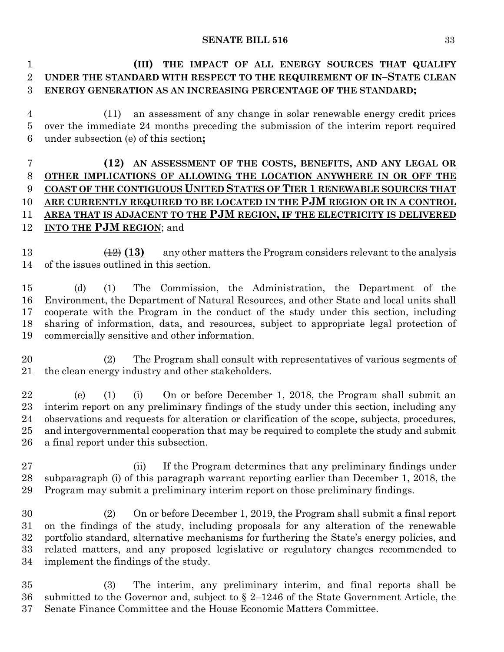**(III) THE IMPACT OF ALL ENERGY SOURCES THAT QUALIFY UNDER THE STANDARD WITH RESPECT TO THE REQUIREMENT OF IN–STATE CLEAN ENERGY GENERATION AS AN INCREASING PERCENTAGE OF THE STANDARD;**

 (11) an assessment of any change in solar renewable energy credit prices over the immediate 24 months preceding the submission of the interim report required under subsection (e) of this section**;**

## **(12) AN ASSESSMENT OF THE COSTS, BENEFITS, AND ANY LEGAL OR OTHER IMPLICATIONS OF ALLOWING THE LOCATION ANYWHERE IN OR OFF THE COAST OF THE CONTIGUOUS UNITED STATES OF TIER 1 RENEWABLE SOURCES THAT ARE CURRENTLY REQUIRED TO BE LOCATED IN THE PJM REGION OR IN A CONTROL AREA THAT IS ADJACENT TO THE PJM REGION, IF THE ELECTRICITY IS DELIVERED INTO THE PJM REGION**; and

 (12) **(13)** any other matters the Program considers relevant to the analysis of the issues outlined in this section.

 (d) (1) The Commission, the Administration, the Department of the Environment, the Department of Natural Resources, and other State and local units shall cooperate with the Program in the conduct of the study under this section, including sharing of information, data, and resources, subject to appropriate legal protection of commercially sensitive and other information.

 (2) The Program shall consult with representatives of various segments of the clean energy industry and other stakeholders.

 (e) (1) (i) On or before December 1, 2018, the Program shall submit an interim report on any preliminary findings of the study under this section, including any observations and requests for alteration or clarification of the scope, subjects, procedures, and intergovernmental cooperation that may be required to complete the study and submit a final report under this subsection.

 (ii) If the Program determines that any preliminary findings under subparagraph (i) of this paragraph warrant reporting earlier than December 1, 2018, the Program may submit a preliminary interim report on those preliminary findings.

 (2) On or before December 1, 2019, the Program shall submit a final report on the findings of the study, including proposals for any alteration of the renewable portfolio standard, alternative mechanisms for furthering the State's energy policies, and related matters, and any proposed legislative or regulatory changes recommended to implement the findings of the study.

 (3) The interim, any preliminary interim, and final reports shall be submitted to the Governor and, subject to § 2–1246 of the State Government Article, the Senate Finance Committee and the House Economic Matters Committee.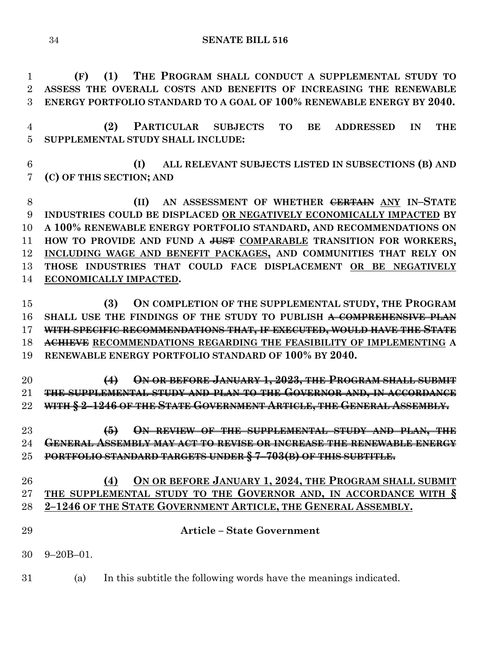**(F) (1) THE PROGRAM SHALL CONDUCT A SUPPLEMENTAL STUDY TO ASSESS THE OVERALL COSTS AND BENEFITS OF INCREASING THE RENEWABLE ENERGY PORTFOLIO STANDARD TO A GOAL OF 100% RENEWABLE ENERGY BY 2040.**

 **(2) PARTICULAR SUBJECTS TO BE ADDRESSED IN THE SUPPLEMENTAL STUDY SHALL INCLUDE:**

 **(I) ALL RELEVANT SUBJECTS LISTED IN SUBSECTIONS (B) AND (C) OF THIS SECTION; AND**

 **(II) AN ASSESSMENT OF WHETHER CERTAIN ANY IN–STATE INDUSTRIES COULD BE DISPLACED OR NEGATIVELY ECONOMICALLY IMPACTED BY A 100% RENEWABLE ENERGY PORTFOLIO STANDARD, AND RECOMMENDATIONS ON HOW TO PROVIDE AND FUND A JUST COMPARABLE TRANSITION FOR WORKERS, INCLUDING WAGE AND BENEFIT PACKAGES, AND COMMUNITIES THAT RELY ON THOSE INDUSTRIES THAT COULD FACE DISPLACEMENT OR BE NEGATIVELY ECONOMICALLY IMPACTED.**

 **(3) ON COMPLETION OF THE SUPPLEMENTAL STUDY, THE PROGRAM SHALL USE THE FINDINGS OF THE STUDY TO PUBLISH A COMPREHENSIVE PLAN WITH SPECIFIC RECOMMENDATIONS THAT, IF EXECUTED, WOULD HAVE THE STATE ACHIEVE RECOMMENDATIONS REGARDING THE FEASIBILITY OF IMPLEMENTING A RENEWABLE ENERGY PORTFOLIO STANDARD OF 100% BY 2040.**

 **(4) ON OR BEFORE JANUARY 1, 2023, THE PROGRAM SHALL SUBMIT THE SUPPLEMENTAL STUDY AND PLAN TO THE GOVERNOR AND, IN ACCORDANCE WITH § 2–1246 OF THE STATE GOVERNMENT ARTICLE, THE GENERAL ASSEMBLY.**

 **(5) ON REVIEW OF THE SUPPLEMENTAL STUDY AND PLAN, THE GENERAL ASSEMBLY MAY ACT TO REVISE OR INCREASE THE RENEWABLE ENERGY PORTFOLIO STANDARD TARGETS UNDER § 7–703(B) OF THIS SUBTITLE.**

## **(4) ON OR BEFORE JANUARY 1, 2024, THE PROGRAM SHALL SUBMIT THE SUPPLEMENTAL STUDY TO THE GOVERNOR AND, IN ACCORDANCE WITH § 2–1246 OF THE STATE GOVERNMENT ARTICLE, THE GENERAL ASSEMBLY.**

- **Article – State Government**
- 9–20B–01.
- (a) In this subtitle the following words have the meanings indicated.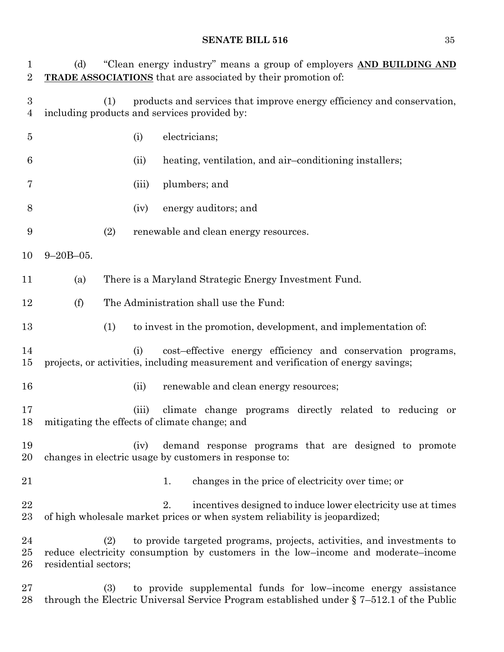| $\mathbf{1}$<br>$\overline{2}$     | "Clean energy industry" means a group of employers AND BUILDING AND<br>(d)<br><b>TRADE ASSOCIATIONS</b> that are associated by their promotion of: |     |       |                                                                                                                                                               |
|------------------------------------|----------------------------------------------------------------------------------------------------------------------------------------------------|-----|-------|---------------------------------------------------------------------------------------------------------------------------------------------------------------|
| $\boldsymbol{3}$<br>$\overline{4}$ |                                                                                                                                                    | (1) |       | products and services that improve energy efficiency and conservation,<br>including products and services provided by:                                        |
| $\overline{5}$                     |                                                                                                                                                    |     | (i)   | electricians;                                                                                                                                                 |
| 6                                  |                                                                                                                                                    |     | (ii)  | heating, ventilation, and air-conditioning installers;                                                                                                        |
| 7                                  |                                                                                                                                                    |     | (iii) | plumbers; and                                                                                                                                                 |
| 8                                  |                                                                                                                                                    |     | (iv)  | energy auditors; and                                                                                                                                          |
| 9                                  |                                                                                                                                                    | (2) |       | renewable and clean energy resources.                                                                                                                         |
| 10                                 | $9 - 20B - 05$ .                                                                                                                                   |     |       |                                                                                                                                                               |
| 11                                 | (a)                                                                                                                                                |     |       | There is a Maryland Strategic Energy Investment Fund.                                                                                                         |
| 12                                 | (f)                                                                                                                                                |     |       | The Administration shall use the Fund:                                                                                                                        |
| 13                                 |                                                                                                                                                    | (1) |       | to invest in the promotion, development, and implementation of:                                                                                               |
| 14<br>15                           |                                                                                                                                                    |     | (i)   | cost-effective energy efficiency and conservation programs,<br>projects, or activities, including measurement and verification of energy savings;             |
| 16                                 |                                                                                                                                                    |     | (ii)  | renewable and clean energy resources;                                                                                                                         |
| 17<br>18                           |                                                                                                                                                    |     | (iii) | climate change programs directly related to reducing or<br>mitigating the effects of climate change; and                                                      |
| 19<br>20                           |                                                                                                                                                    |     | (iv)  | demand response programs that are designed to promote<br>changes in electric usage by customers in response to:                                               |
| 21                                 |                                                                                                                                                    |     |       | changes in the price of electricity over time; or<br>1.                                                                                                       |
| 22<br>23                           |                                                                                                                                                    |     |       | incentives designed to induce lower electricity use at times<br>2.<br>of high wholesale market prices or when system reliability is jeopardized;              |
| 24<br>25<br>26                     | residential sectors;                                                                                                                               | (2) |       | to provide targeted programs, projects, activities, and investments to<br>reduce electricity consumption by customers in the low-income and moderate-income   |
| 27<br>28                           |                                                                                                                                                    | (3) |       | to provide supplemental funds for low-income energy assistance<br>through the Electric Universal Service Program established under $\S 7-512.1$ of the Public |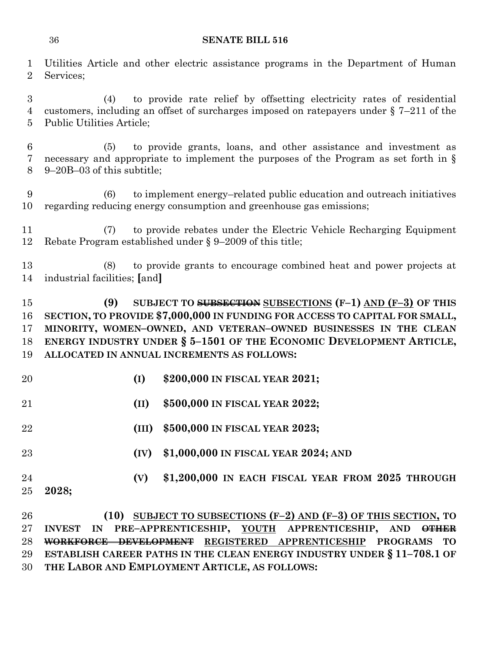Utilities Article and other electric assistance programs in the Department of Human Services;

 (4) to provide rate relief by offsetting electricity rates of residential customers, including an offset of surcharges imposed on ratepayers under § 7–211 of the Public Utilities Article;

 (5) to provide grants, loans, and other assistance and investment as necessary and appropriate to implement the purposes of the Program as set forth in § 9–20B–03 of this subtitle;

 (6) to implement energy–related public education and outreach initiatives regarding reducing energy consumption and greenhouse gas emissions;

 (7) to provide rebates under the Electric Vehicle Recharging Equipment Rebate Program established under § 9–2009 of this title;

 (8) to provide grants to encourage combined heat and power projects at industrial facilities; **[**and**]**

 **(9) SUBJECT TO SUBSECTION SUBSECTIONS (F–1) AND (F–3) OF THIS SECTION, TO PROVIDE \$7,000,000 IN FUNDING FOR ACCESS TO CAPITAL FOR SMALL, MINORITY, WOMEN–OWNED, AND VETERAN–OWNED BUSINESSES IN THE CLEAN ENERGY INDUSTRY UNDER § 5–1501 OF THE ECONOMIC DEVELOPMENT ARTICLE, ALLOCATED IN ANNUAL INCREMENTS AS FOLLOWS:**

**(I) \$200,000 IN FISCAL YEAR 2021;**

**(II) \$500,000 IN FISCAL YEAR 2022;**

**(III) \$500,000 IN FISCAL YEAR 2023;**

- **(IV) \$1,000,000 IN FISCAL YEAR 2024; AND**
- **(V) \$1,200,000 IN EACH FISCAL YEAR FROM 2025 THROUGH 2028;**

 **(10) SUBJECT TO SUBSECTIONS (F–2) AND (F–3) OF THIS SECTION, TO INVEST IN PRE–APPRENTICESHIP, YOUTH APPRENTICESHIP, AND OTHER WORKFORCE DEVELOPMENT REGISTERED APPRENTICESHIP PROGRAMS TO ESTABLISH CAREER PATHS IN THE CLEAN ENERGY INDUSTRY UNDER § 11–708.1 OF THE LABOR AND EMPLOYMENT ARTICLE, AS FOLLOWS:**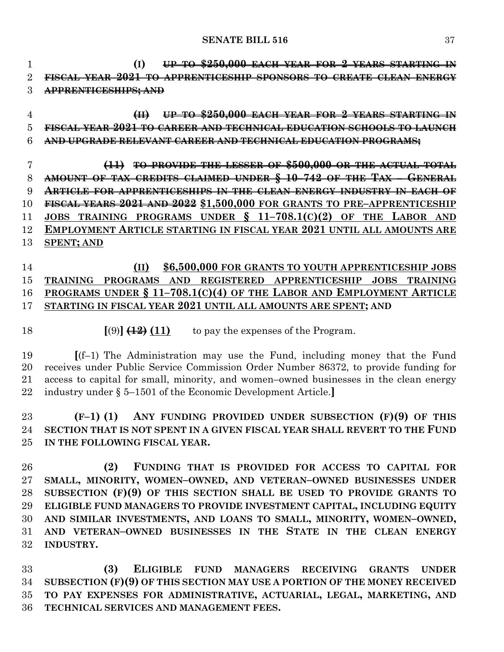**(I) UP TO \$250,000 EACH YEAR FOR 2 YEARS STARTING IN FISCAL YEAR 2021 TO APPRENTICESHIP SPONSORS TO CREATE CLEAN ENERGY APPRENTICESHIPS; AND**

 **(II) UP TO \$250,000 EACH YEAR FOR 2 YEARS STARTING IN FISCAL YEAR 2021 TO CAREER AND TECHNICAL EDUCATION SCHOOLS TO LAUNCH AND UPGRADE RELEVANT CAREER AND TECHNICAL EDUCATION PROGRAMS;**

 **(11) TO PROVIDE THE LESSER OF \$500,000 OR THE ACTUAL TOTAL AMOUNT OF TAX CREDITS CLAIMED UNDER § 10–742 OF THE TAX – GENERAL ARTICLE FOR APPRENTICESHIPS IN THE CLEAN ENERGY INDUSTRY IN EACH OF FISCAL YEARS 2021 AND 2022 \$1,500,000 FOR GRANTS TO PRE–APPRENTICESHIP JOBS TRAINING PROGRAMS UNDER § 11–708.1(C)(2) OF THE LABOR AND EMPLOYMENT ARTICLE STARTING IN FISCAL YEAR 2021 UNTIL ALL AMOUNTS ARE SPENT; AND**

## **(II) \$6,500,000 FOR GRANTS TO YOUTH APPRENTICESHIP JOBS TRAINING PROGRAMS AND REGISTERED APPRENTICESHIP JOBS TRAINING PROGRAMS UNDER § 11–708.1(C)(4) OF THE LABOR AND EMPLOYMENT ARTICLE STARTING IN FISCAL YEAR 2021 UNTIL ALL AMOUNTS ARE SPENT; AND**

18  $[(9)] \left( \frac{12}{12} \right) (11)$  to pay the expenses of the Program.

 **[**(f–1) The Administration may use the Fund, including money that the Fund receives under Public Service Commission Order Number 86372, to provide funding for access to capital for small, minority, and women–owned businesses in the clean energy industry under § 5–1501 of the Economic Development Article.**]**

 **(F–1) (1) ANY FUNDING PROVIDED UNDER SUBSECTION (F)(9) OF THIS SECTION THAT IS NOT SPENT IN A GIVEN FISCAL YEAR SHALL REVERT TO THE FUND IN THE FOLLOWING FISCAL YEAR.**

 **(2) FUNDING THAT IS PROVIDED FOR ACCESS TO CAPITAL FOR SMALL, MINORITY, WOMEN–OWNED, AND VETERAN–OWNED BUSINESSES UNDER SUBSECTION (F)(9) OF THIS SECTION SHALL BE USED TO PROVIDE GRANTS TO ELIGIBLE FUND MANAGERS TO PROVIDE INVESTMENT CAPITAL, INCLUDING EQUITY AND SIMILAR INVESTMENTS, AND LOANS TO SMALL, MINORITY, WOMEN–OWNED, AND VETERAN–OWNED BUSINESSES IN THE STATE IN THE CLEAN ENERGY INDUSTRY.**

 **(3) ELIGIBLE FUND MANAGERS RECEIVING GRANTS UNDER SUBSECTION (F)(9) OF THIS SECTION MAY USE A PORTION OF THE MONEY RECEIVED TO PAY EXPENSES FOR ADMINISTRATIVE, ACTUARIAL, LEGAL, MARKETING, AND TECHNICAL SERVICES AND MANAGEMENT FEES.**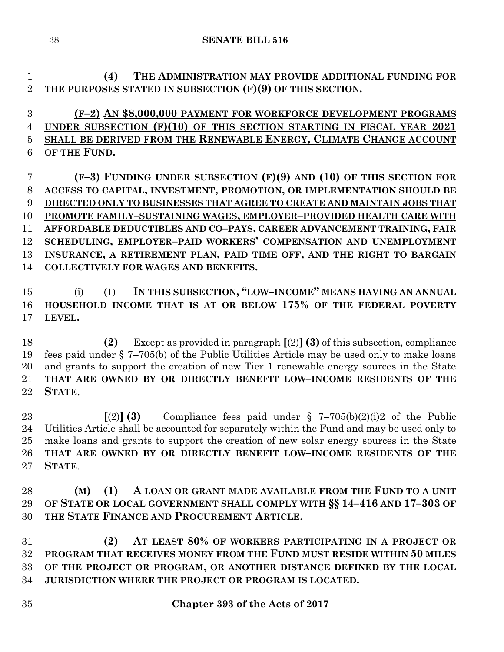**(4) THE ADMINISTRATION MAY PROVIDE ADDITIONAL FUNDING FOR THE PURPOSES STATED IN SUBSECTION (F)(9) OF THIS SECTION.**

 **(F–2) AN \$8,000,000 PAYMENT FOR WORKFORCE DEVELOPMENT PROGRAMS UNDER SUBSECTION (F)(10) OF THIS SECTION STARTING IN FISCAL YEAR 2021 SHALL BE DERIVED FROM THE RENEWABLE ENERGY, CLIMATE CHANGE ACCOUNT OF THE FUND.**

 **(F–3) FUNDING UNDER SUBSECTION (F)(9) AND (10) OF THIS SECTION FOR ACCESS TO CAPITAL, INVESTMENT, PROMOTION, OR IMPLEMENTATION SHOULD BE DIRECTED ONLY TO BUSINESSES THAT AGREE TO CREATE AND MAINTAIN JOBS THAT PROMOTE FAMILY–SUSTAINING WAGES, EMPLOYER–PROVIDED HEALTH CARE WITH AFFORDABLE DEDUCTIBLES AND CO–PAYS, CAREER ADVANCEMENT TRAINING, FAIR SCHEDULING, EMPLOYER–PAID WORKERS' COMPENSATION AND UNEMPLOYMENT INSURANCE, A RETIREMENT PLAN, PAID TIME OFF, AND THE RIGHT TO BARGAIN COLLECTIVELY FOR WAGES AND BENEFITS.**

 (i) (1) **IN THIS SUBSECTION, "LOW–INCOME" MEANS HAVING AN ANNUAL HOUSEHOLD INCOME THAT IS AT OR BELOW 175% OF THE FEDERAL POVERTY LEVEL.**

 **(2)** Except as provided in paragraph **[**(2)**](3)** of this subsection, compliance fees paid under § 7–705(b) of the Public Utilities Article may be used only to make loans and grants to support the creation of new Tier 1 renewable energy sources in the State **THAT ARE OWNED BY OR DIRECTLY BENEFIT LOW–INCOME RESIDENTS OF THE STATE**.

 **[**(2)**] (3)** Compliance fees paid under § 7–705(b)(2)(i)2 of the Public Utilities Article shall be accounted for separately within the Fund and may be used only to make loans and grants to support the creation of new solar energy sources in the State **THAT ARE OWNED BY OR DIRECTLY BENEFIT LOW–INCOME RESIDENTS OF THE STATE**.

 **(M) (1) A LOAN OR GRANT MADE AVAILABLE FROM THE FUND TO A UNIT OF STATE OR LOCAL GOVERNMENT SHALL COMPLY WITH §§ 14–416 AND 17–303 OF THE STATE FINANCE AND PROCUREMENT ARTICLE.**

 **(2) AT LEAST 80% OF WORKERS PARTICIPATING IN A PROJECT OR PROGRAM THAT RECEIVES MONEY FROM THE FUND MUST RESIDE WITHIN 50 MILES OF THE PROJECT OR PROGRAM, OR ANOTHER DISTANCE DEFINED BY THE LOCAL JURISDICTION WHERE THE PROJECT OR PROGRAM IS LOCATED.**

**Chapter 393 of the Acts of 2017**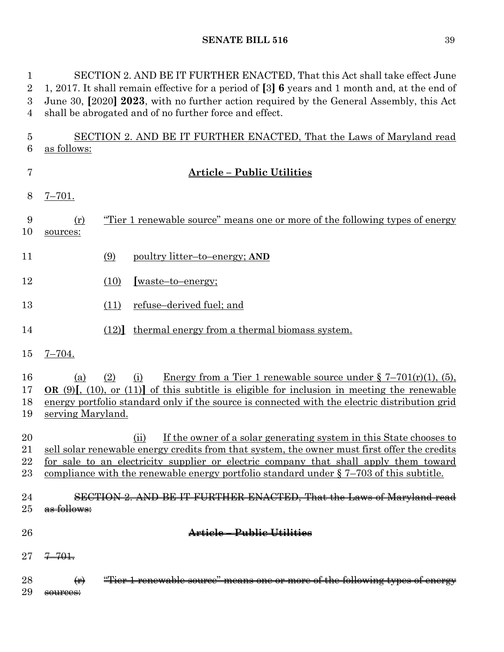SECTION 2. AND BE IT FURTHER ENACTED, That this Act shall take effect June 1, 2017. It shall remain effective for a period of **[**3**] 6** years and 1 month and, at the end of June 30, **[**2020**] 2023**, with no further action required by the General Assembly, this Act shall be abrogated and of no further force and effect.

 SECTION 2. AND BE IT FURTHER ENACTED, That the Laws of Maryland read as follows:

| 7                    |                          | <b>Article - Public Utilities</b>                                                                                                                                                                                                                                                                                                                                |
|----------------------|--------------------------|------------------------------------------------------------------------------------------------------------------------------------------------------------------------------------------------------------------------------------------------------------------------------------------------------------------------------------------------------------------|
| 8                    | $7 - 701.$               |                                                                                                                                                                                                                                                                                                                                                                  |
| 9<br>10              | (r)<br>sources:          | "Tier 1 renewable source" means one or more of the following types of energy                                                                                                                                                                                                                                                                                     |
| 11                   |                          | (9)<br>poultry litter-to-energy; AND                                                                                                                                                                                                                                                                                                                             |
| 12                   |                          | (10)<br>[waste-to-energy;                                                                                                                                                                                                                                                                                                                                        |
| 13                   |                          | refuse–derived fuel; and<br>(11)                                                                                                                                                                                                                                                                                                                                 |
| 14                   |                          | (12) thermal energy from a thermal biomass system.                                                                                                                                                                                                                                                                                                               |
| 15                   | $7 - 704.$               |                                                                                                                                                                                                                                                                                                                                                                  |
| 16<br>17<br>18<br>19 | (a)<br>serving Maryland. | <u>Energy from a Tier 1 renewable source under <math>\S 7-701(r)(1)</math>, (5)</u><br>(2)<br>(i)<br>OR $(9)$ , $(10)$ , or $(11)$ of this subtitle is eligible for inclusion in meeting the renewable<br>energy portfolio standard only if the source is connected with the electric distribution grid                                                          |
| 20<br>21<br>22<br>23 |                          | If the owner of a solar generating system in this State chooses to<br>(ii)<br>sell solar renewable energy credits from that system, the owner must first offer the credits<br>for sale to an electricity supplier or electric company that shall apply them toward<br>compliance with the renewable energy portfolio standard under $\S 7-703$ of this subtitle. |
| 24<br>25             | <del>follows:</del>      | SECTION 2. AND BE IT FURTHER ENACTED, That the Laws of Maryland read                                                                                                                                                                                                                                                                                             |
| 26                   |                          | Article – Public Utilities                                                                                                                                                                                                                                                                                                                                       |
| 27                   | $7 - 701.$               |                                                                                                                                                                                                                                                                                                                                                                  |
| 28                   | $(\mathbf{r})$           | "Tier 1 renewable source" means one or more of the following types of energy                                                                                                                                                                                                                                                                                     |
| 29                   | sources:                 |                                                                                                                                                                                                                                                                                                                                                                  |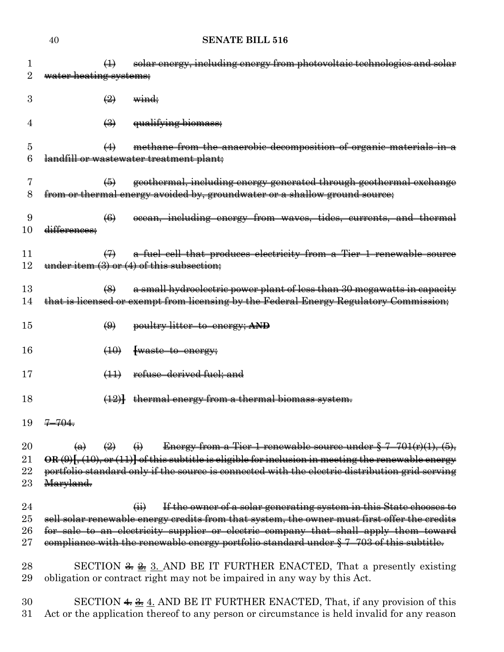|                      | 40                             | <b>SENATE BILL 516</b>                                                                                                                                                                                                                                                                                                                                                             |
|----------------------|--------------------------------|------------------------------------------------------------------------------------------------------------------------------------------------------------------------------------------------------------------------------------------------------------------------------------------------------------------------------------------------------------------------------------|
| 1<br>$\rm{2}$        | water heating systems;         | solar energy, including energy from photovoltaic technologies and solar<br>$\leftrightarrow$                                                                                                                                                                                                                                                                                       |
| 3                    |                                | $\leftrightarrow$<br><del>wind;</del>                                                                                                                                                                                                                                                                                                                                              |
| 4                    |                                | $\bigoplus$<br>qualifying biomass;                                                                                                                                                                                                                                                                                                                                                 |
| 5<br>6               |                                | methane from the anaerobic decomposition of organic materials in a<br>$\leftrightarrow$<br>landfill or wastewater treatment plant;                                                                                                                                                                                                                                                 |
| 7<br>8               |                                | geothermal, including energy generated through geothermal exchange<br>$\left( 5 \right)$<br>from or thermal energy avoided by, groundwater or a shallow ground source;                                                                                                                                                                                                             |
| 9<br>10              | differences;                   | ocean, including energy from waves, tides, currents, and thermal<br>$\left( 6 \right)$                                                                                                                                                                                                                                                                                             |
| 11<br>12             |                                | a fuel cell that produces electricity from a Tier 1 renewable source<br>$\leftrightarrow$<br>under item $(3)$ or $(4)$ of this subsection;                                                                                                                                                                                                                                         |
| 13<br>14             |                                | a small hydroelectric power plant of less than 30 megawatts in capacity<br>$\left(\frac{8}{2}\right)$<br>that is licensed or exempt from licensing by the Federal Energy Regulatory Commission;                                                                                                                                                                                    |
| 15                   |                                | $\bigoplus$<br>poultry litter-to-energy; AND                                                                                                                                                                                                                                                                                                                                       |
| 16                   |                                | (10)<br>waste to energy;                                                                                                                                                                                                                                                                                                                                                           |
| 17                   |                                | refuse-derived fuel; and<br>$\left(\frac{1}{2}\right)$                                                                                                                                                                                                                                                                                                                             |
| 18                   |                                | $(12)$ thermal energy from a thermal biomass system.                                                                                                                                                                                                                                                                                                                               |
| 19                   | <del>-704.</del>               |                                                                                                                                                                                                                                                                                                                                                                                    |
| 20<br>21<br>22<br>23 | $\leftrightarrow$<br>Maryland. | Energy from a Tier 1 renewable source under $\frac{6}{5}$ 7-701(r)(1), (5),<br>$\left(\frac{2}{2}\right)$<br>$\left( \frac{1}{2} \right)$<br>$OR(9)$ [, (10), or (11)] of this subtitle is eligible for inclusion in meeting the renewable energy<br>portfolio standard only if the source is connected with the electric distribution grid serving                                |
| 24<br>25<br>26<br>27 |                                | If the owner of a solar generating system in this State chooses to<br>$\overline{(\mathbf{H})}$<br>sell solar renewable energy credits from that system, the owner must first offer the credits<br>for sale to an electricity supplier or electric company that shall apply them toward<br>compliance with the renewable energy portfolio standard under § 7-703 of this subtitle. |
| $^{28}$<br>29        |                                | SECTION $\frac{2}{\pi}$ $\frac{3}{\pi}$ . AND BE IT FURTHER ENACTED, That a presently existing<br>obligation or contract right may not be impaired in any way by this Act.                                                                                                                                                                                                         |
| 30<br>31             |                                | SECTION $\frac{4}{3}$ $\frac{4}{2}$ . AND BE IT FURTHER ENACTED, That, if any provision of this<br>Act or the application thereof to any person or circumstance is held invalid for any reason                                                                                                                                                                                     |